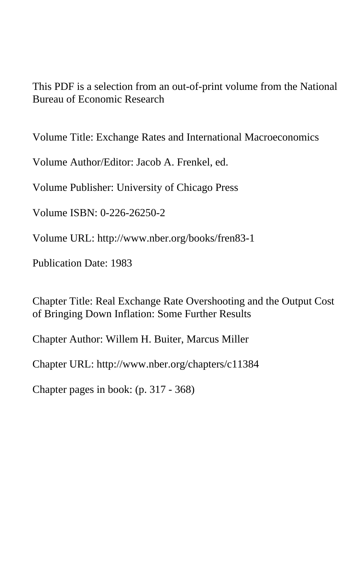This PDF is a selection from an out-of-print volume from the National Bureau of Economic Research

Volume Title: Exchange Rates and International Macroeconomics

Volume Author/Editor: Jacob A. Frenkel, ed.

Volume Publisher: University of Chicago Press

Volume ISBN: 0-226-26250-2

Volume URL: http://www.nber.org/books/fren83-1

Publication Date: 1983

Chapter Title: Real Exchange Rate Overshooting and the Output Cost of Bringing Down Inflation: Some Further Results

Chapter Author: Willem H. Buiter, Marcus Miller

Chapter URL: http://www.nber.org/chapters/c11384

Chapter pages in book: (p. 317 - 368)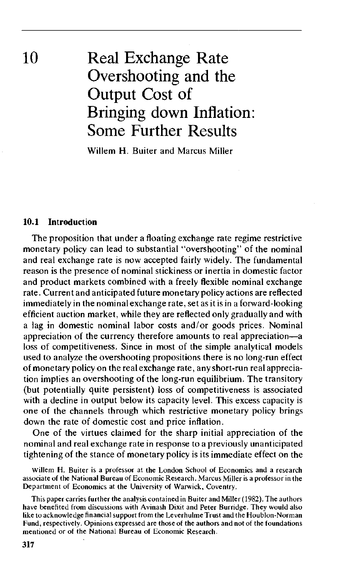10 Real Exchange Rate Overshooting and the Output Cost of Bringing down Inflation: Some Further Results

Willem H. Buiter and Marcus Miller

#### **10.1 Introduction**

The proposition that under a floating exchange rate regime restrictive monetary policy can lead to substantial "overshooting" of the nominal and real exchange rate is now accepted fairly widely. The fundamental reason is the presence of nominal stickiness or inertia in domestic factor and product markets combined with a freely flexible nominal exchange rate. Current and anticipated future monetary policy actions are reflected immediately in the nominal exchange rate, set as it is in a forward-looking efficient auction market, while they are reflected only gradually and with a lag in domestic nominal labor costs and/or goods prices. Nominal appreciation of the currency therefore amounts to real appreciation—a loss of competitiveness. Since in most of the simple analytical models used to analyze the overshooting propositions there is no long-run effect of monetary policy on the real exchange rate, any short-run real appreciation implies an overshooting of the long-run equilibrium. The transitory (but potentially quite persistent) loss of competitiveness is associated with a decline in output below its capacity level. This excess capacity is one of the channels through which restrictive monetary policy brings down the rate of domestic cost and price inflation.

One of the virtues claimed for the sharp initial appreciation of the nominal and real exchange rate in response to a previously unanticipated tightening of the stance of monetary policy is its immediate effect on the

Willem H. Buiter is a professor at the London School of Economics and a research associate of the National Bureau of Economic Research. Marcus Miller is a professor in the Department of Economics at the University of Warwick, Coventry.

This paper carries further the analysis contained in Buiter and Miller (1982). The authors have benefited from discussions with Avinash Dixit and Peter Burridge. They would also like to acknowledge financial support from the Leverhulme Trust and the Houblon-Norman Fund, respectively. Opinions expressed are those of the authors and not of the foundations mentioned or of the National Bureau of Economic Research.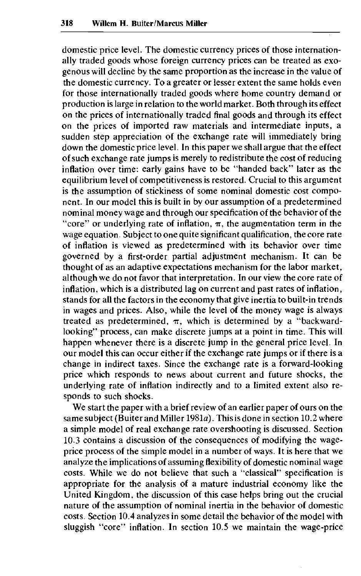domestic price level. The domestic currency prices of those internationally traded goods whose foreign currency prices can be treated as exogenous will decline by the same proportion as the increase in the value of the domestic currency. To a greater or lesser extent the same holds even for those internationally traded goods where home country demand or production is large in relation to the world market. Both through its effect on the prices of internationally traded final goods and through its effect on the prices of imported raw materials and intermediate inputs, a sudden step appreciation of the exchange rate will immediately bring down the domestic price level. In this paper we shall argue that the effect of such exchange rate jumps is merely to redistribute the cost of reducing inflation over time: early gains have to be "handed back" later as the equilibrium level of competitiveness is restored. Crucial to this argument is the assumption of stickiness of some nominal domestic cost component. In our model this is built in by our assumption of a predetermined nominal money wage and through our specification of the behavior of the "core" or underlying rate of inflation,  $\pi$ , the augmentation term in the wage equation. Subject to one quite significant qualification, the core rate of inflation is viewed as predetermined with its behavior over time governed by a first-order partial adjustment mechanism. It can be thought of as an adaptive expectations mechanism for the labor market, although we do not favor that interpretation. In our view the core rate of inflation, which is a distributed lag on current and past rates of inflation, stands for all the factors in the economy that give inertia to built-in trends in wages and prices. Also, while the level of the money wage is always treated as predetermined,  $\pi$ , which is determined by a "backwardlooking" process, can make discrete jumps at a point in time. This will happen whenever there is a discrete jump in the general price level. In our model this can occur either if the exchange rate jumps or if there is a change in indirect taxes. Since the exchange rate is a forward-looking price which responds to news about current and future shocks, the underlying rate of inflation indirectly and to a limited extent also responds to such shocks.

We start the paper with a brief review of an earlier paper of ours on the same subject (Buiter and Miller 1981a). This is done in section 10.2 where a simple model of real exchange rate overshooting is discussed. Section 10.3 contains a discussion of the consequences of modifying the wageprice process of the simple model in a number of ways. It is here that we analyze the implications of assuming flexibility of domestic nominal wage costs. While we do not believe that such a "classical" specification is appropriate for the analysis of a mature industrial economy like the United Kingdom, the discussion of this case helps bring out the crucial nature of the assumption of nominal inertia in the behavior of domestic costs. Section 10.4 analyzes in some detail the behavior of the model with sluggish "core" inflation. In section 10.5 we maintain the wage-price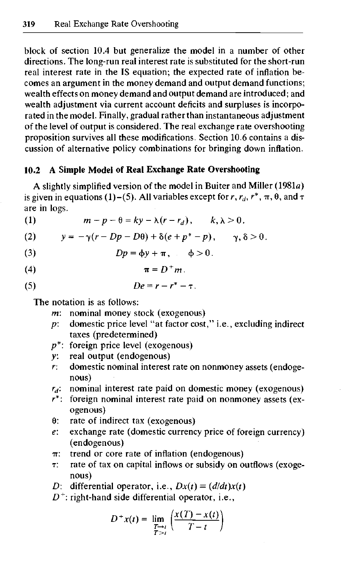block of section 10.4 but generalize the model in a number of other directions. The long-run real interest rate is substituted for the short-run real interest rate in the IS equation; the expected rate of inflation becomes an argument in the money demand and output demand functions; wealth effects on money demand and output demand are introduced; and wealth adjustment via current account deficits and surpluses is incorporated in the model. Finally, gradual rather than instantaneous adjustment of the level of output is considered. The real exchange rate overshooting proposition survives all these modifications. Section 10.6 contains a discussion of alternative policy combinations for bringing down inflation.

## **10.2 A Simple Model of Real Exchange Rate Overshooting**

A slightly simplified version of the model in Buiter and Miller (1981a) is given in equations (1)–(5). All variables except for  $r, r_d, r^*, \pi, \theta$ , and  $\tau$ are in logs.

(1)  $m-p-\theta = ky-\lambda(r-r_d), \quad k, \lambda > 0.$ 

(2) 
$$
y = -\gamma(r - Dp - D\theta) + \delta(e + p^* - p), \quad \gamma, \delta > 0.
$$

(3) 
$$
Dp = \phi y + \pi, \quad \phi > 0.
$$

$$
\pi = D^+ m.
$$

$$
(5) \t\t\t De = r - r^* - \tau.
$$

The notation is as follows:

- *m:* nominal money stock (exogenous)
- *p:* domestic price level "at factor cost," i.e., excluding indirect taxes (predetermined)
- $p^*$ : foreign price level (exogenous)
- *y:* real output (endogenous)
- *r:* domestic nominal interest rate on nonmoney assets (endogenous)
- $r_d$  nominal interest rate paid on domestic money (exogenous)
- *r\*\* foreign nominal interest rate paid on nonmoney assets (exogenous)
- 0: rate of indirect tax (exogenous)
- *e:* exchange rate (domestic currency price of foreign currency) (endogenous)
- $\pi$ : trend or core rate of inflation (endogenous)
- T: rate of tax on capital inflows or subsidy on outflows (exogenous)

*D:* differential operator, i.e.,  $Dx(t) \equiv (d/dt)x(t)$ 

*D + :* right-hand side differential operator, i.e.,

$$
D^+x(t)=\lim_{\substack{T\to t\\T>t}}\left(\frac{x(T)-x(t)}{T-t}\right)
$$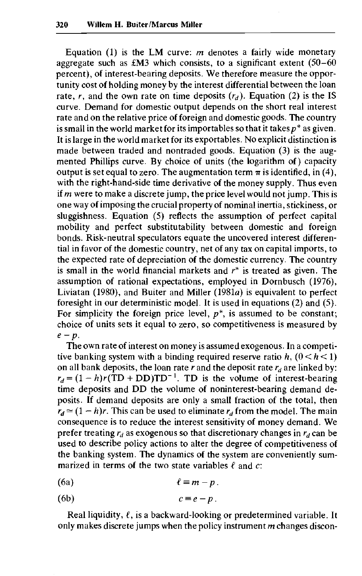Equation  $(1)$  is the LM curve: *m* denotes a fairly wide monetary aggregate such as  $£M3$  which consists, to a significant extent (50-60 percent), of interest-bearing deposits. We therefore measure the opportunity cost of holding money by the interest differential between the loan rate, r, and the own rate on time deposits  $(r_d)$ . Equation (2) is the IS curve. Demand for domestic output depends on the short real interest rate and on the relative price of foreign and domestic goods. The country is small in the world market for its importables so that it takes  $p^*$  as given. It is large in the world market for its exportables. No explicit distinction is made between traded and nontraded goods. Equation (3) is the augmented Phillips curve. By choice of units (the logarithm of) capacity output is set equal to zero. The augmentation term  $\pi$  is identified, in (4), with the right-hand-side time derivative of the money supply. Thus even if *m* were to make a discrete jump, the price level would not jump. This is one way of imposing the crucial property of nominal inertia, stickiness, or sluggishness. Equation (5) reflects the assumption of perfect capital mobility and perfect substitutability between domestic and foreign bonds. Risk-neutral speculators equate the uncovered interest differential in favor of the domestic country, net of any tax on capital imports, to the expected rate of depreciation of the domestic currency. The country is small in the world financial markets and *r\** is treated as given. The assumption of rational expectations, employed in Dornbusch (1976), Liviatan (1980), and Buiter and Miller (1981a) is equivalent to perfect foresight in our deterministic model. It is used in equations (2) and (5). For simplicity the foreign price level,  $p^*$ , is assumed to be constant; choice of units sets it equal to zero, so competitiveness is measured by *e-p.*

The own rate of interest on money is assumed exogenous. In a competitive banking system with a binding required reserve ratio  $h$ ,  $(0 < h < 1)$ on all bank deposits, the loan rate *r* and the deposit rate *rd* are linked by:  $r_d = (1-h)r(TD + DD)TD^{-1}$ . TD is the volume of interest-bearing time deposits and DD the volume of noninterest-bearing demand deposits. If demand deposits are only a small fraction of the total, then  $r_d \approx (1-h)r$ . This can be used to eliminate  $r_d$  from the model. The main consequence is to reduce the interest sensitivity of money demand. We prefer treating  $r_d$  as exogenous so that discretionary changes in  $r_d$  can be used to describe policy actions to alter the degree of competitiveness of the banking system. The dynamics of the system are conveniently summarized in terms of the two state variables  $\ell$  and  $c$ :

**(6a)** *i = m-p.*

$$
(6b) \t c \equiv e - p.
$$

Real liquidity,  $\ell$ , is a backward-looking or predetermined variable. It only makes discrete jumps when the policy instrument *m* changes discon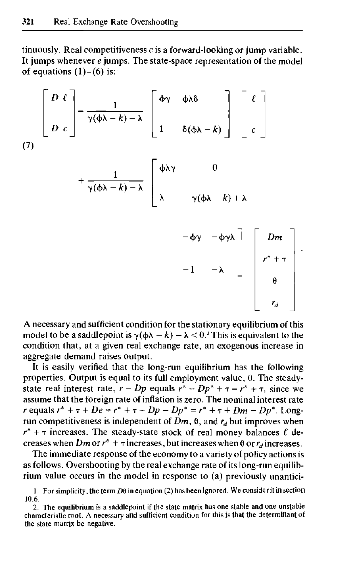tinuously. Real competitiveness *c* is a forward-looking or jump variable. It jumps whenever *e* jumps. The state-space representation of the model of equations  $(1)-(6)$  is:<sup>1</sup>

$$
\begin{bmatrix} D \ell \\ D \epsilon \end{bmatrix} = \frac{1}{\gamma(\phi\lambda - k) - \lambda} \begin{bmatrix} \phi\gamma & \phi\lambda\delta \\ 1 & \delta(\phi\lambda - k) \end{bmatrix} \begin{bmatrix} \ell \\ c \end{bmatrix}
$$
  
+ 
$$
\frac{1}{\gamma(\phi\lambda - k) - \lambda} \begin{bmatrix} \phi\lambda\gamma & 0 \\ \lambda & -\gamma(\phi\lambda - k) + \lambda \\ -\phi\gamma & -\phi\gamma\lambda \\ -1 & -\lambda \end{bmatrix} \begin{bmatrix} Dm \\ r^* + \tau \\ 0 \\ r_d \end{bmatrix}
$$

A necessary and sufficient condition for the stationary equilibrium of this model to be a saddlepoint is  $\gamma(\phi \lambda - k) - \lambda < 0$ .<sup>2</sup> This is equivalent to the condition that, at a given real exchange rate, an exogenous increase in aggregate demand raises output.

It is easily verified that the long-run equilibrium has the following properties. Output is equal to its full employment value, 0. The steadystate real interest rate,  $r - Dp$  equals  $r^* - Dp^* + \tau = r^* + \tau$ , since we assume that the foreign rate of inflation is zero. The nominal interest rate *r* equals  $r^* + \tau + De = r^* + \tau + Dp - Dp^* = r^* + \tau + Dm - Dp^*$ . Longrun competitiveness is independent of  $\overrightarrow{Dm}$ ,  $\theta$ , and  $r_d$  but improves when  $r^*$  +  $\tau$  increases. The steady-state stock of real money balances  $\ell$  decreases when *Dm* or  $r^*$  +  $\tau$  increases, but increases when  $\theta$  or  $r_d$  increases.

The immediate response of the economy to a variety of policy actions is as follows. Overshooting by the real exchange rate of its long-run equilibrium value occurs in the model in response to (a) previously unantici-

<sup>1.</sup> For simplicity, the term  $D\theta$  in equation (2) has been ignored. We consider it in section 10.6.

<sup>2.</sup> The equilibrium is a saddlepoint if the state matrix has one stable and one unstable characteristic root. A necessary and sufficient condition for this is that the determinant of the state matrix be negative.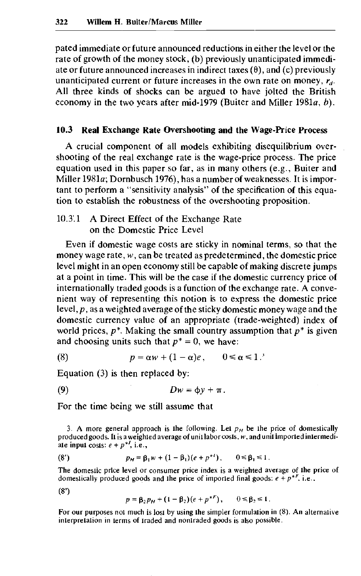pated immediate or future announced reductions in either the level or the rate of growth of the money stock, (b) previously unanticipated immediate or future announced increases in indirect taxes  $(\theta)$ , and  $(c)$  previously unanticipated current or future increases in the own rate on money, *rd.* All three kinds of shocks can be argued to have jolted the British economy in the two years after mid-1979 (Buiter and Miller 1981a, *b).*

## **10.3 Real Exchange Rate Overshooting and the Wage-Price Process**

A crucial component of all models exhibiting disequilibrium overshooting of the real exchange rate is the wage-price process. The price equation used in this paper so far, as in many others (e.g., Buiter and Miller 1981a; Dornbusch 1976), has a number of weaknesses. It is important to perform a "sensitivity analysis" of the specification of this equation to establish the robustness of the overshooting proposition.

# 10.3.1 A Direct Effect of the Exchange Rate on the Domestic Price Level

Even if domestic wage costs are sticky in nominal terms, so that the money wage rate, *w,* can be treated as predetermined, the domestic price level might in an open economy still be capable of making discrete jumps at a point in time. This will be the case if the domestic currency price of internationally traded goods is a function of the exchange rate. A convenient way of representing this notion is to express the domestic price level, *p*, as a weighted average of the sticky domestic money wage and the domestic currency value of an appropriate (trade-weighted) index of world prices, *p\*.* Making the small country assumption that *p\** is given and choosing units such that  $p^* = 0$ , we have:

(8) 
$$
p = \alpha w + (1 - \alpha)e, \qquad 0 \le \alpha \le 1
$$

Equation (3) is then replaced by:

$$
(9) \t\t Dw = \phi y + \pi.
$$

For the time being we still assume that

3. A more general approach is the following. Let  $p<sub>H</sub>$  be the price of domestically produced goods. It is a weighted average of unit labor costs, *w,* and unit imported intermediate input costs:  $e + p^{*l}$ , i.e.,

(8') 
$$
p_H = \beta_1 w + (1 - \beta_1)(e + p^{*t}), \qquad 0 \le \beta_1 \le 1.
$$

The domestic price level or consumer price index is a weighted average of the price of domestically produced goods and the price of imported final goods:  $e + p^{*F}$ , i.e.,

 $(8<sup>7</sup>)$ 

$$
p = \beta_2 p_H + (1 - \beta_2)(e + p^{*F}), \qquad 0 \le \beta_2 \le 1.
$$

For our purposes not much is lost by using the simpler formulation in (8). An alternative interpretation in terms of traded and nontraded goods is also possible.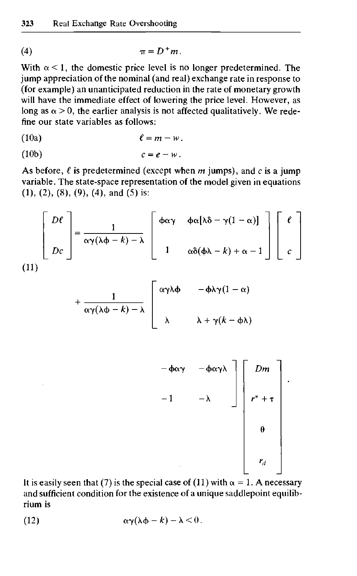$$
\pi = D^+ m.
$$

With  $\alpha$  < 1, the domestic price level is no longer predetermined. The jump appreciation of the nominal (and real) exchange rate in response to (for example) an unanticipated reduction in the rate of monetary growth will have the immediate effect of lowering the price level. However, as long as  $\alpha > 0$ , the earlier analysis is not affected qualitatively. We redefine our state variables as follows:

(10a) *£ = m-w.*

$$
(10b) \t\t c = e - w.
$$

As before,  $\ell$  is predetermined (except when  $m$  jumps), and  $c$  is a jump variable. The state-space representation of the model given in equations  $(1), (2), (8), (9), (4),$  and  $(5)$  is:

$$
\left[\begin{array}{c} D\ell \\ Dc \end{array}\right] = \frac{1}{\alpha \gamma (\lambda \phi - k) - \lambda} \left[\begin{array}{cc} \phi \alpha \gamma & \phi \alpha [\lambda \delta - \gamma (1 - \alpha)] \\ 1 & \alpha \delta (\phi \lambda - k) + \alpha - 1 \end{array}\right] \left[\begin{array}{c} \ell \\ c \end{array}\right]
$$
\n(11)

$$
+\frac{1}{\alpha\gamma(\lambda\phi-k)-\lambda}\left[\begin{array}{cc}\alpha\gamma\lambda\phi&-\phi\lambda\gamma(1-\alpha)\\ \lambda&\lambda+\gamma(k-\phi\lambda)\end{array}\right]
$$

$$
-\phi\alpha\gamma - \phi\alpha\gamma\lambda\n-1\n-\lambda\n\begin{bmatrix}\nDm \\
r^* + \tau \\
\theta \\
\tau_d\n\end{bmatrix}
$$

It is easily seen that (7) is the special case of (11) with  $\alpha = 1$ . A necessary and sufficient condition for the existence of a unique saddlepoint equilibrium is

(12) 
$$
\alpha \gamma (\lambda \phi - k) - \lambda < 0.
$$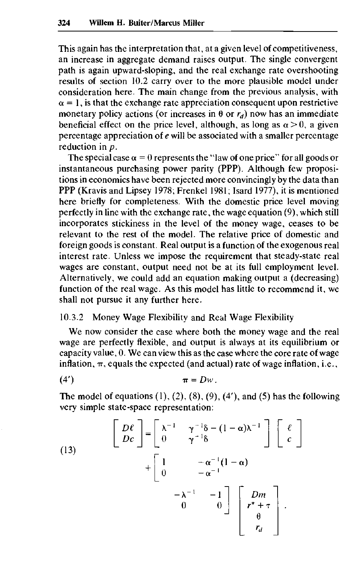This again has the interpretation that, at a given level of competitiveness, an increase in aggregate demand raises output. The single convergent path is again upward-sloping, and the real exchange rate overshooting results of section 10.2 carry over to the more plausible model under consideration here. The main change from the previous analysis, with  $\alpha = 1$ , is that the exchange rate appreciation consequent upon restrictive monetary policy actions (or increases in  $\theta$  or  $r_d$ ) now has an immediate beneficial effect on the price level, although, as long as  $\alpha > 0$ , a given percentage appreciation of *e* will be associated with a smaller percentage reduction in *p.*

The special case  $\alpha = 0$  represents the "law of one price" for all goods or instantaneous purchasing power parity (PPP). Although few propositions in economics have been rejected more convincingly by the data than PPP (Kravis and Lipsey 1978; Frenkel 1981; Isard 1977), it is mentioned here briefly for completeness. With the domestic price level moving perfectly in line with the exchange rate, the wage equation (9), which still incorporates stickiness in the level of the money wage, ceases to be relevant to the rest of the model. The relative price of domestic and foreign goods is constant. Real output is a function of the exogenous real interest rate. Unless we impose the requirement that steady-state real wages are constant, output need not be at its full employment level. Alternatively, we could add an equation making output a (decreasing) function of the real wage. As this model has little to recommend it, we shall not pursue it any further here.

# 10.3.2 Money Wage Flexibility and Real Wage Flexibility

We now consider the case where both the money wage and the real wage are perfectly flexible, and output is always at its equilibrium or capacity value, 0. We can view this as the case where the core rate of wage inflation,  $\pi$ , equals the expected (and actual) rate of wage inflation, i.e.,

$$
\pi = Dw.
$$

The model of equations  $(1)$ ,  $(2)$ ,  $(8)$ ,  $(9)$ ,  $(4')$ , and  $(5)$  has the following very simple state-space representation:

(13)
$$
\begin{bmatrix} D\ell \\ Dc \end{bmatrix} = \begin{bmatrix} \lambda^{-1} & \gamma^{-1}\delta - (1 - \alpha)\lambda^{-1} \\ 0 & \gamma^{-1}\delta \end{bmatrix} \begin{bmatrix} \ell \\ c \end{bmatrix} + \begin{bmatrix} 1 & -\alpha^{-1}(1 - \alpha) \\ 0 & -\alpha^{-1} \end{bmatrix} - \begin{bmatrix} Dm \\ r^* + \tau \\ \theta \\ r_d \end{bmatrix}.
$$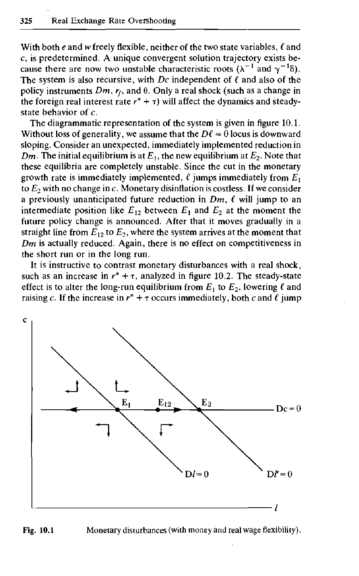With both  $e$  and  $w$  freely flexible, neither of the two state variables,  $\ell$  and *c,* is predetermined. A unique convergent solution trajectory exists because there are now two unstable characteristic roots ( $\lambda^{-1}$  and  $\gamma^{-1}\delta$ ). The system is also recursive, with *Dc* independent of *t* and also of the policy instruments Dm, r<sub>f</sub>, and θ. Only a real shock (such as a change in the foreign real interest rate  $r^* + \tau$ ) will affect the dynamics and steadystate behavior of *c.*

The diagrammatic representation of the system is given in figure 10.1. Without loss of generality, we assume that the  $D\ell = 0$  locus is downward sloping. Consider an unexpected, immediately implemented reduction in *Dm*. The initial equilibrium is at  $E_1$ , the new equilibrium at  $E_2$ . Note that these equilibria are completely unstable. Since the cut in the monetary growth rate is immediately implemented,  $\ell$  jumps immediately from  $E_1$ to *E2* with no change in *c.* Monetary disinflation is costless. If we consider a previously unanticipated future reduction in *Dm, €* will jump to an intermediate position like  $E_{12}$  between  $E_1$  and  $E_2$  at the moment the future policy change is announced. After that it moves gradually in a straight line from  $E_{12}$  to  $E_2$ , where the system arrives at the moment that *Dm* is actually reduced. Again, there is no effect on competitiveness in the short run or in the long run.

It is instructive to contrast monetary disturbances with a real shock, such as an increase in  $r^* + \tau$ , analyzed in figure 10.2. The steady-state effect is to alter the long-run equilibrium from  $E_1$  to  $E_2$ , lowering  $\ell$  and raising c. If the increase in  $r^* + \tau$  occurs immediately, both c and  $\ell$  jump



### Fig. 10.1 Monetary disturbances (with money and real wage flexibility).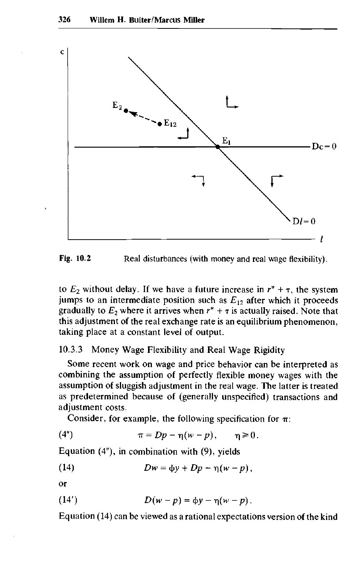

**Fig. 10.2** Real disturbances (with money and real wage flexibility).

to  $E_2$  without delay. If we have a future increase in  $r^* + \tau$ , the system jumps to an intermediate position such as *E12* after which it proceeds gradually to  $E_2$  where it arrives when  $r^* + \tau$  is actually raised. Note that this adjustment of the real exchange rate is an equilibrium phenomenon, taking place at a constant level of output.

## 10.3.3 Money Wage Flexibility and Real Wage Rigidity

Some recent work on wage and price behavior can be interpreted as combining the assumption of perfectly flexible money wages with the assumption of sluggish adjustment in the real wage. The latter is treated as predetermined because of (generally unspecified) transactions and adjustment costs.

Consider, for example, the following specification for  $\pi$ :

(4") 
$$
\pi = Dp - \eta(w - p), \qquad \eta \ge 0.
$$

Equation (4"), in combination with (9), yields

(14) 
$$
Dw = \phi y + Dp - \eta (w - p),
$$

or

(14') 
$$
D(w-p) = \phi y - \eta (w-p).
$$

Equation (14) can be viewed as a rational expectations version of the kind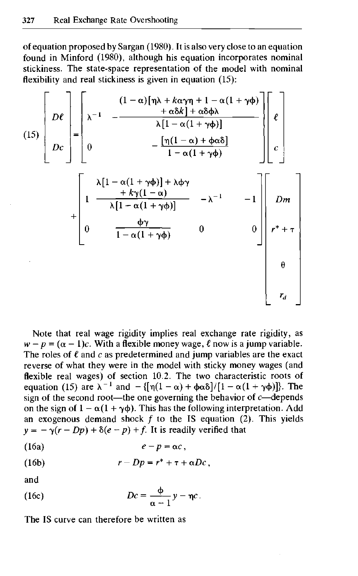of equation proposed by Sargan (1980). It is also very close to an equation found in Minford (1980), although his equation incorporates nominal stickiness. The state-space representation of the model with nominal flexibility and real stickiness is given in equation  $(15)$ :



Note that real wage rigidity implies real exchange rate rigidity, as  $w - p = (\alpha - 1)c$ . With a flexible money wage,  $\ell$  now is a jump variable. The roles of  $\ell$  and  $c$  as predetermined and jump variables are the exact reverse of what they were in the model with sticky money wages (and flexible real wages) of section 10.2. The two characteristic roots of equation (15) are  $\lambda^{-1}$  and  $-{\{\pi(1-\alpha) + \phi\alpha\}\atop{0pt} }$  [1 -  $\alpha(1+\gamma\phi)$ ]. The sign of the second root—the one governing the behavior of *c*—depends on the sign of  $1 - \alpha(1 + \gamma \phi)$ . This has the following interpretation. Add an exogenous demand shock  $f$  to the IS equation (2). This yields  $y = -\gamma(r - Dp) + \delta(e - p) + f$ . It is readily verified that

$$
(16a) \t\t\t e-p=\alpha c,
$$

(16b) 
$$
r - Dp = r^* + \tau + \alpha Dc,
$$

and

(16c) 
$$
Dc = \frac{\Phi}{\alpha - 1} y - \eta c.
$$

The IS curve can therefore be written as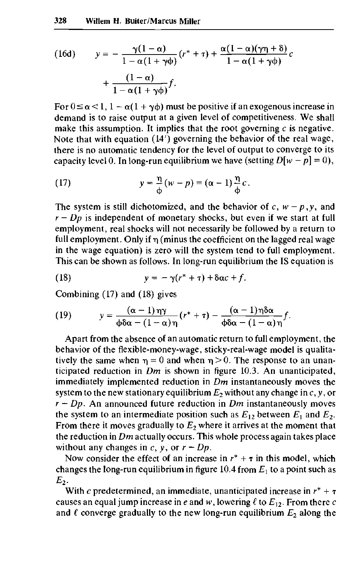(16d) 
$$
y = -\frac{\gamma(1-\alpha)}{1-\alpha(1+\gamma\phi)}(r^*+\tau) + \frac{\alpha(1-\alpha)(\gamma\eta+\delta)}{1-\alpha(1+\gamma\phi)}c + \frac{(1-\alpha)}{1-\alpha(1+\gamma\phi)}f.
$$

For  $0 \le \alpha < 1$ ,  $1 - \alpha(1 + \gamma \phi)$  must be positive if an exogenous increase in demand is to raise output at a given level of competitiveness. We shall make this assumption. It implies that the root governing *c* is negative. Note that with equation (14') governing the behavior of the real wage, there is no automatic tendency for the level of output to converge to its capacity level 0. In long-run equilibrium we have (setting  $D[w - p] = 0$ ),

(17) 
$$
y = \frac{\eta}{\phi}(w - p) = (\alpha - 1)\frac{\eta}{\phi}c.
$$

The system is still dichotomized, and the behavior of  $c, w - p, y$ , and  $r - Dp$  is independent of monetary shocks, but even if we start at full employment, real shocks will not necessarily be followed by a return to full employment. Only if *r\* (minus the coefficient on the lagged real wage in the wage equation) is zero will the system tend to full employment. This can be shown as follows. In long-run equilibrium the IS equation is

(18) 
$$
y = -\gamma(r^* + \tau) + \delta \alpha c + f.
$$

Combining (17) and (18) gives

(19) 
$$
y = \frac{(\alpha - 1)\eta\gamma}{\phi\delta\alpha - (1 - \alpha)\eta}(r^* + \tau) - \frac{(\alpha - 1)\eta\delta\alpha}{\phi\delta\alpha - (1 - \alpha)\eta}f.
$$

Apart from the absence of an automatic return to full employment, the behavior of the flexible-money-wage, sticky-real-wage model is qualitatively the same when  $\eta = 0$  and when  $\eta > 0$ . The response to an unanticipated reduction in *Dm* is shown in figure 10.3. An unanticipated, immediately implemented reduction in *Dm* instantaneously moves the system to the new stationary equilibrium *E2* without any change in *c, y,* or *r — Dp.* An announced future reduction in *Dm* instantaneously moves the system to an intermediate position such as  $E_{12}$  between  $E_1$  and  $E_2$ . From there it moves gradually to  $E_2$  where it arrives at the moment that the reduction in *Dm* actually occurs. This whole process again takes place without any changes in  $c$ ,  $y$ , or  $r - Dp$ .

Now consider the effect of an increase in  $r^* + \tau$  in this model, which changes the long-run equilibrium in figure  $10.4$  from  $E_1$  to a point such as  $E<sub>2</sub>$ .

With c predetermined, an immediate, unanticipated increase in  $r^* + \tau$ causes an equal jump increase in e and w, lowering  $\ell$  to  $E_{12}$ . From there c and  $\ell$  converge gradually to the new long-run equilibrium  $E_2$  along the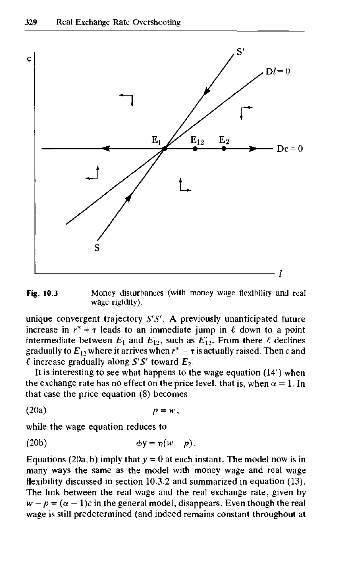

Fig. 10.3 Money disturbances (with money wage flexibility and real wage rigidity).

unique convergent trajectory *S'S'. A* previously unanticipated future increase in  $r^* + \tau$  leads to an immediate jump in  $\ell$  down to a point intermediate between  $E_1$  and  $E_{12}$ , such as  $E'_{12}$ . From there  $\ell$  declines gradually to  $E_{12}$  where it arrives when  $r^* + \tau$  is actually raised. Then c and  $\ell$  increase gradually along *S'S'* toward  $E_2$ .

It is interesting to see what happens to the wage equation (14') when the exchange rate has no effect on the price level, that is, when  $\alpha = 1$ . In that case the price equation (8) becomes

$$
(20a) \t\t\t p = w,
$$

while the wage equation reduces to

$$
\phi y = \eta (w - p).
$$

Equations (20a, b) imply that  $y = 0$  at each instant. The model now is in many ways the same as the model with money wage and real wage flexibility discussed in section 10.3.2 and summarized in equation (13). The link between the real wage and the real exchange rate, given by  $w - p = (\alpha - 1)c$  in the general model, disappears. Even though the real wage is still predetermined (and indeed remains constant throughout at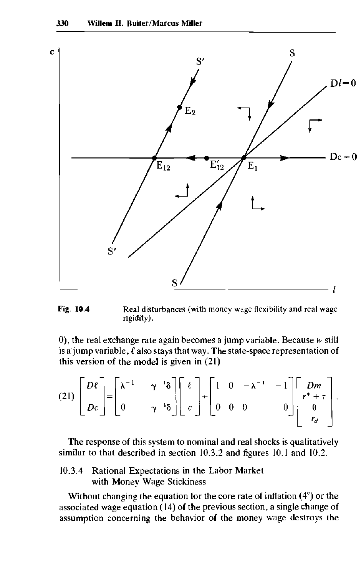

Fig. 10.4 Real disturbances (with money wage flexibility and real wage rigidity).

0), the real exchange rate again becomes a jump variable. Because  $w$  still is a jump variable,  $\ell$  also stays that way. The state-space representation of this version of the model is given in (21)

$$
(21)\begin{bmatrix}D\ell \\ Dc\end{bmatrix} = \begin{bmatrix} \lambda^{-1} & \gamma^{-1}\delta \\ 0 & \gamma^{-1}\delta \end{bmatrix} \begin{bmatrix} \ell \\ c\end{bmatrix} + \begin{bmatrix} 1 & 0 & -\lambda^{-1} & -1 \\ 0 & 0 & 0 & 0 \end{bmatrix} \begin{bmatrix} Dm \\ r^* + \tau \\ r_d \end{bmatrix}.
$$

The response of this system to nominal and real shocks is qualitatively similar to that described in section 10.3.2 and figures 10.1 and 10.2.

10.3.4 Rational Expectations in the Labor Market with Money Wage Stickiness

Without changing the equation for the core rate of inflation (4") or the associated wage equation (14) of the previous section, a single change of assumption concerning the behavior of the money wage destroys the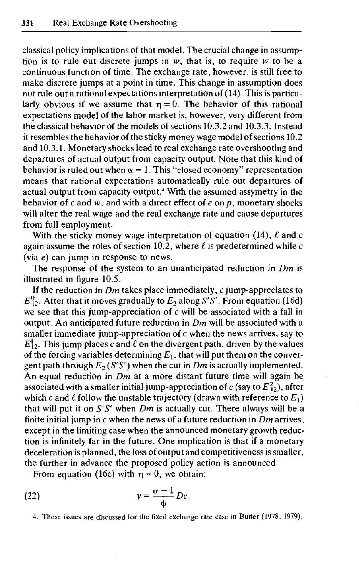classical policy implications of that model. The crucial change in assumption is to rule out discrete jumps in *w,* that is, to require *w* to be a continuous function of time. The exchange rate, however, is still free to make discrete jumps at a point in time. This change in assumption does not rule out a rational expectations interpretation of (14). This is particularly obvious if we assume that  $\eta = 0$ . The behavior of this rational expectations model of the labor market is, however, very different from the classical behavior of the models of sections 10.3.2 and 10.3.3. Instead it resembles the behavior of the sticky money wage model of sections 10.2 and 10.3.1. Monetary shocks lead to real exchange rate overshooting and departures of actual output from capacity output. Note that this kind of behavior is ruled out when  $\alpha = 1$ . This "closed economy" representation means that rational expectations automatically rule out departures of actual output from capacity output.<sup>4</sup> With the assumed assymetry in the behavior of  $c$  and  $w$ , and with a direct effect of  $e$  on  $p$ , monetary shocks will alter the real wage and the real exchange rate and cause departures from full employment.

With the sticky money wage interpretation of equation (14), *£* and *c* again assume the roles of section 10.2, where *£* is predetermined while *c* (via *e)* can jump in response to news.

The response of the system to an unanticipated reduction in *Dm* is illustrated in figure 10.5.

If the reduction in *Dm* takes place immediately, *c* jump-appreciates to  $E_{12}^0$ . After that it moves gradually to  $E_2$  along *S'S'*. From equation (16d) we see that this jump-appreciation of *c* will be associated with a fall in output. An anticipated future reduction in *Dm* will be associated with a smaller immediate jump-appreciation of *c* when the news arrives, say to  $E_1^1$ . This jump places *c* and  $\ell$  on the divergent path, driven by the values of the forcing variables determining  $E_1$ , that will put them on the convergent path through  $E_2(S'S')$  when the cut in  $Dm$  is actually implemented. An equal reduction in *Dm* at a more distant future time will again be associated with a smaller initial jump-appreciation of  $c$  (say to  $E_{12}^2$ ), after which  $c$  and  $\ell$  follow the unstable trajectory (drawn with reference to  $E_1)$ that will put it on *S'S'* when *Dm* is actually cut. There always will be a finite initial jump in *c* when the news of a future reduction in *Dm* arrives, except in the limiting case when the announced monetary growth reduction is infinitely far in the future. One implication is that if a monetary deceleration is planned, the loss of output and competitiveness is smaller, the further in advance the proposed policy action is announced.

From equation (16c) with  $\eta = 0$ , we obtain:

(22) 
$$
y = \frac{\alpha - 1}{\phi} Dc.
$$

4. These issues are discussed for the fixed exchange rate case in Buiter (1978, 1979).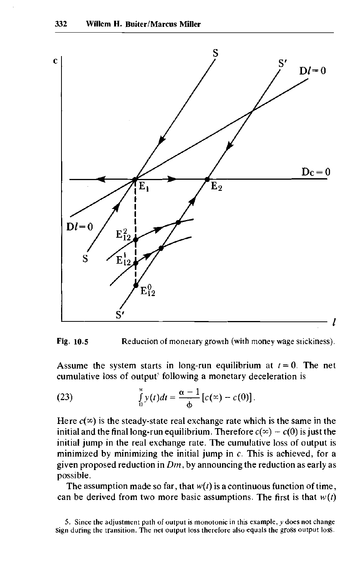



Assume the system starts in long-run equilibrium at  $t = 0$ . The net cumulative loss of output<sup>5</sup> following a monetary deceleration is

(23) 
$$
\int_{0}^{\infty} y(t)dt = \frac{\alpha - 1}{\phi} [c(\infty) - c(0)].
$$

Here  $c(x)$  is the steady-state real exchange rate which is the same in the initial and the final long-run equilibrium. Therefore  $c(\infty) - c(0)$  is just the initial jump in the real exchange rate. The cumulative loss of output is minimized by minimizing the initial jump in *c.* This is achieved, for a given proposed reduction in *Dm,* by announcing the reduction as early as possible.

The assumption made so far, that  $w(t)$  is a continuous function of time, can be derived from two more basic assumptions. The first is that  $w(t)$ 

5. Since the adjustment path of output is monotonic in this example, *y* does not change sign during the transition. The net output loss therefore also equals the gross output loss.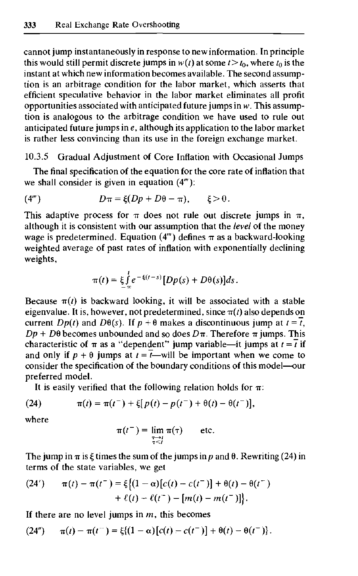cannot jump instantaneously in response to new information. In principle this would still permit discrete jumps in  $w(t)$  at some  $t > t_0$ , where  $t_0$  is the instant at which new information becomes available. The second assumption is an arbitrage condition for the labor market, which asserts that efficient speculative behavior in the labor market eliminates all profit opportunities associated with anticipated future jumps in *w.* This assumption is analogous to the arbitrage condition we have used to rule out anticipated future jumps in *e,* although its application to the labor market is rather less convincing than its use in the foreign exchange market.

10.3.5 Gradual Adjustment of Core Inflation with Occasional Jumps

The final specification of the equation for the core rate of inflation that we shall consider is given in equation  $(4<sup>m</sup>)$ :

$$
(4m) \t\t D\pi = \xi(Dp + D\theta - \pi), \t\t \xi > 0.
$$

This adaptive process for  $\pi$  does not rule out discrete jumps in  $\pi$ , although it is consistent with our assumption that the *level* of the money wage is predetermined. Equation (4'") defines *n* as a backward-looking weighted average of past rates of inflation with exponentially declining weights,

$$
\pi(t) = \xi \int_{-\infty}^{t} e^{-\xi(t-s)} [Dp(s) + D\theta(s)] ds.
$$

Because  $\pi(t)$  is backward looking, it will be associated with a stable eigenvalue. It is, however, not predetermined, since  $\pi(t)$  also depends on current  $Dp(t)$  and  $D\theta(s)$ . If  $p + \theta$  makes a discontinuous jump at  $t = \overline{t}$ ,  $Dp + D\theta$  becomes unbounded and so does  $D\pi$ . Therefore  $\pi$  jumps. This characteristic of  $\pi$  as a "dependent" jump variable—it jumps at  $t = \overline{t}$  if and only if  $p + \theta$  jumps at  $t = \overline{t}$ —will be important when we come to consider the specification of the boundary conditions of this model—our preferred model.

It is easily verified that the following relation holds for  $\pi$ :

(24) 
$$
\pi(t) = \pi(t^{-}) + \xi[p(t) - p(t^{-}) + \theta(t) - \theta(t^{-})],
$$

where

$$
\pi(t^{-}) = \lim_{\substack{\tau \to t \\ \tau < t}} \pi(\tau) \qquad \text{etc.}
$$

The jump in  $\pi$  is  $\xi$  times the sum of the jumps in p and  $\theta$ . Rewriting (24) in terms of the state variables, we get

(24') 
$$
\pi(t) - \pi(t^{-}) = \xi \{(1 - \alpha)[c(t) - c(t^{-})] + \theta(t) - \theta(t^{-}) + \ell(t) - \ell(t^{-}) - [m(t) - m(t^{-})]\}.
$$

If there are no level jumps in  $m$ , this becomes

$$
(24'') \qquad \pi(t) - \pi(t^{-}) = \xi \{(1-\alpha)[c(t) - c(t^{-})] + \theta(t) - \theta(t^{-})\}.
$$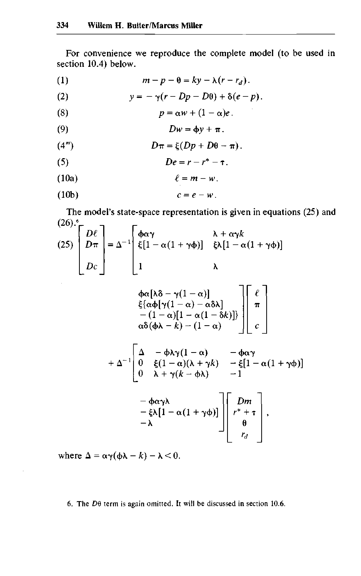For convenience we reproduce the complete model (to be used in section 10.4) below.

(1) 
$$
m-p-\theta = ky-\lambda(r-r_d).
$$

(2) 
$$
y = -\gamma(r - Dp - D\theta) + \delta(e - p).
$$

(8) 
$$
p = \alpha w + (1 - \alpha)e.
$$

$$
(9) \t\t Dw = \phi y + \pi.
$$

$$
(4m) \t\t D\pi = \xi(Dp + D\theta - \pi).
$$

$$
(5) \t\t\t De = r - r^* - \tau.
$$

(10a) *£ - m — w.*

$$
(10b) \t\t c=e-w.
$$

The model's state-space representation is given in equations (25) and  $(26)$ <sup>6</sup> $^-$  <sub>7</sub>  $\Gamma$ 

$$
(25)\begin{bmatrix} D\ell \\ D\pi \\ Dc \end{bmatrix} = \Delta^{-1} \begin{bmatrix} \phi\alpha\gamma & \lambda + \alpha\gamma k \\ \xi[1 - \alpha(1 + \gamma\phi)] & \xi\lambda[1 - \alpha(1 + \gamma\phi)] \\ 1 & \lambda \end{bmatrix}
$$

$$
\phi\alpha[\lambda\delta - \gamma(1 - \alpha)]
$$

$$
\xi[\alpha\phi[\gamma(1 - \alpha) - \alpha\delta\lambda] - (1 - \alpha)[1 - \alpha(1 - \delta k)]\delta\phi]
$$

$$
- (1 - \alpha)[1 - \alpha(1 - \delta k)]
$$

$$
\alpha\delta(\phi\lambda - k) - (1 - \alpha)
$$

$$
+ \Delta^{-1} \begin{bmatrix} \Delta & -\phi\lambda\gamma(1 - \alpha) & -\phi\alpha\gamma \\ 0 & \xi(1 - \alpha)(\lambda + \gamma k) & -\xi[1 - \alpha(1 + \gamma\phi)] \\ 0 & \lambda + \gamma(k - \phi\lambda) & -1 \end{bmatrix}
$$

$$
- \phi\alpha\gamma\lambda
$$

$$
- \xi\lambda[1 - \alpha(1 + \gamma\phi)]
$$

$$
\begin{bmatrix} Dm \\ r^* + \tau \\ \theta \\ r_d \end{bmatrix},
$$

where  $\Delta = \alpha \gamma(\phi \lambda - k) - \lambda < 0$ .

6. The  $D\theta$  term is again omitted. It will be discussed in section 10.6.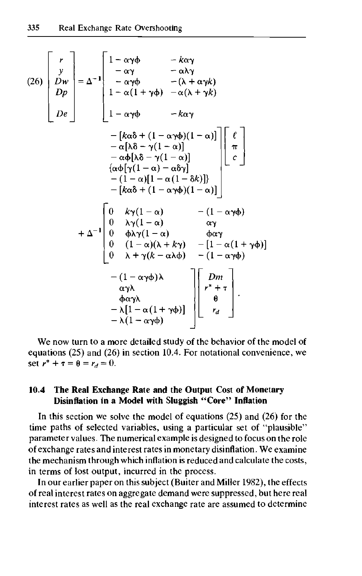$$
(26)\begin{bmatrix} r \\ y \\ Dw \\ Dp \\ De \end{bmatrix} = \Delta^{-1} \begin{bmatrix} 1 - \alpha\gamma\phi & -k\alpha\gamma \\ -\alpha\gamma\phi & -(\lambda + \alpha\gamma k) \\ 1 - \alpha(1 + \gamma\phi) & -\alpha(\lambda + \gamma k) \\ 1 - \alpha(1 + \gamma\phi) & -k\alpha\gamma \end{bmatrix}
$$
  
\n
$$
= \begin{bmatrix} k\alpha\delta + (1 - \alpha\gamma\phi)(1 - \alpha) \end{bmatrix} \begin{bmatrix} \ell \\ \pi \\ -\alpha[\lambda\delta - \gamma(1 - \alpha)] \\ -\alpha\phi[\lambda\delta - \gamma(1 - \alpha)] \end{bmatrix} \begin{bmatrix} \ell \\ \pi \\ \alpha\phi[\gamma(1 - \alpha) - \alpha\delta\gamma] \\ - (1 - \alpha)[1 - \alpha(1 - \delta k)] \end{bmatrix}
$$
  
\n
$$
= \begin{bmatrix} k\alpha\delta + (1 - \alpha\gamma\phi)(1 - \alpha) \end{bmatrix}
$$
  
\n
$$
+ \Delta^{-1} \begin{bmatrix} 0 & k\gamma(1 - \alpha) & - (1 - \alpha\gamma\phi) \\ 0 & \lambda\gamma(1 - \alpha) & \alpha\gamma \\ 0 & (\lambda + \gamma(\lambda - \alpha\lambda\phi) & - [1 - \alpha(1 + \gamma\phi)] \\ 0 & \lambda + \gamma(k - \alpha\lambda\phi) & - (1 - \alpha\gamma\phi) \end{bmatrix}
$$
  
\n
$$
= \begin{bmatrix} (1 - \alpha\gamma\phi)\lambda \\ \alpha\gamma\lambda \\ -\lambda(1 - \alpha\gamma\phi) \end{bmatrix} \begin{bmatrix} Dm \\ p^* + \pi \\ p^* + \pi \\ -\lambda(1 - \alpha\gamma\phi) \end{bmatrix}
$$

We now turn to a more detailed study of the behavior of the model of equations (25) and (26) in section 10.4. For notational convenience, we set  $r^* + \tau = \theta = r_d = 0$ .

# **10.4 The Real Exchange Rate and the Output Cost of Monetary Disinflation in a Model with Sluggish "Core" Inflation**

In this section we solve the model of equations  $(25)$  and  $(26)$  for the time paths of selected variables, using a particular set of "plausible" parameter values. The numerical example is designed to focus on the role of exchange rates and interest rates in monetary disinflation. We examine the mechanism through which inflation is reduced and calculate the costs, in terms of lost output, incurred in the process.

In our earlier paper on this subject (Buiter and Miller 1982), the effects of real interest rates on aggregate demand were suppressed, but here real interest rates as well as the real exchange rate are assumed to determine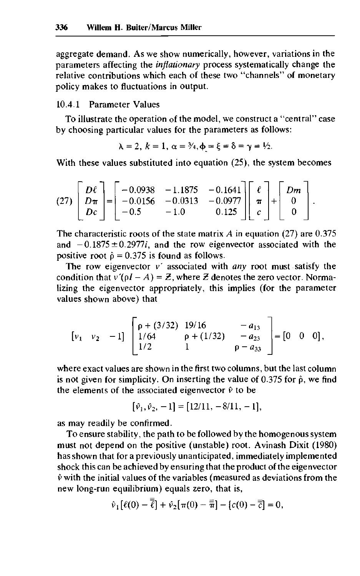aggregate demand. As we show numerically, however, variations in the parameters affecting the *inflationary* process systematically change the relative contributions which each of these two "channels" of monetary policy makes to fluctuations in output.

## 10.4.1 Parameter Values

To illustrate the operation of the model, we construct a "central" case by choosing particular values for the parameters as follows:

$$
\lambda = 2, k = 1, \alpha = \frac{3}{4}, \phi = \xi = \delta = \gamma = \frac{1}{2}.
$$

With these values substituted into equation (25), the system becomes

$$
(27)\begin{bmatrix} D\ell \\ D\pi \\ Dc \end{bmatrix} = \begin{bmatrix} -0.0938 & -1.1875 & -0.1641 \\ -0.0156 & -0.0313 & -0.0977 \\ -0.5 & -1.0 & 0.125 \end{bmatrix} \begin{bmatrix} \ell \\ \pi \\ c \end{bmatrix} + \begin{bmatrix} Dm \\ 0 \\ 0 \end{bmatrix}
$$

The characteristic roots of the state matrix *A* in equation (27) are 0.375 and  $-0.1875 \pm 0.2977i$ , and the row eigenvector associated with the positive root  $\hat{p} = 0.375$  is found as follows.

The row eigenvector v' associated with *any* root must satisfy the condition that  $v'(pI - A) = Z$ , where *Z* denotes the zero vector. Normalizing the eigenvector appropriately, this implies (for the parameter values shown above) that

$$
\begin{bmatrix} v_1 & v_2 & -1 \end{bmatrix} \begin{bmatrix} \rho + (3/32) & 19/16 & -a_{13} \\ 1/64 & \rho + (1/32) & -a_{23} \\ 1/2 & 1 & \rho - a_{33} \end{bmatrix} = \begin{bmatrix} 0 & 0 & 0 \end{bmatrix},
$$

where exact values are shown in the first two columns, but the last column is not given for simplicity. On inserting the value of 0.375 for  $\hat{\rho}$ , we find the elements of the associated eigenvector  $\hat{v}$  to be

$$
[\hat{v}_1, \hat{v}_2, -1] = [12/11, -8/11, -1],
$$

as may readily be confirmed.

To ensure stability, the path to be followed by the homogenous system must not depend on the positive (unstable) root. Avinash Dixit (1980) has shown that for a previously unanticipated, immediately implemented shock this can be achieved by ensuring that the product of the eigenvector  $\hat{v}$  with the initial values of the variables (measured as deviations from the new long-run equilibrium) equals zero, that is,

$$
\hat{v}_1[\ell(0)-\overline{\ell}]+\hat{v}_2[\pi(0)-\overline{\overline{\pi}}] - [c(0)-\overline{\overline{c}}]=0,
$$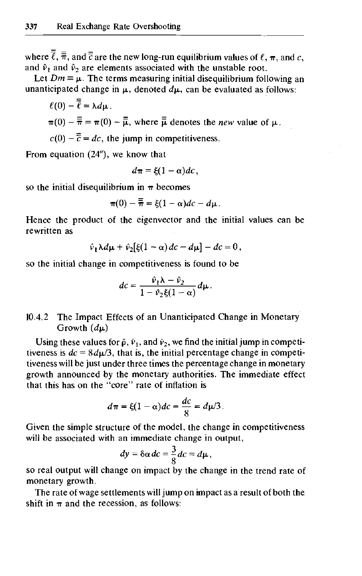where  $\overline{\ell}$ ,  $\overline{\overline{\pi}}$ , and  $\overline{\overline{c}}$  are the new long-run equilibrium values of  $\ell$ ,  $\pi$ , and c, and  $\hat{v}_1$  and  $\hat{v}_2$  are elements associated with the unstable root.

Let  $Dm = \mu$ . The terms measuring initial disequilibrium following an unanticipated change in  $\mu$ , denoted  $d\mu$ , can be evaluated as follows:

$$
\ell(0) - \overline{\overline{\ell}} = \lambda d\mu.
$$
  

$$
\pi(0) - \overline{\overline{\pi}} = \pi(0) - \overline{\overline{\mu}}, \text{ where } \overline{\overline{\mu}} \text{ denotes the } new \text{ value of } \mu.
$$

 $c(0) - \overline{\overline{c}} = dc$ , the jump in competitiveness.

From equation (24"), we know that

$$
d\pi = \xi(1-\alpha)dc,
$$

so the initial disequilibrium in  $\pi$  becomes

$$
\pi(0)-\overline{\overline{\pi}}=\xi(1-\alpha)dc-d\mu.
$$

Hence the product of the eigenvector and the initial values can be rewritten as

$$
\hat{v}_1 \lambda d\mu + \hat{v}_2[\xi(1-\alpha)dc - d\mu] - dc = 0,
$$

so the initial change in competitiveness is found to be

$$
dc = \frac{\hat{v}_1 \lambda - \hat{v}_2}{1 - \hat{v}_2 \xi (1 - \alpha)} d\mu.
$$

# 10.4.2 The Impact Effects of an Unanticipated Change in Monetary Growth *{d\x)*

Using these values for  $\hat{\rho}$ ,  $\hat{v}_1$ , and  $\hat{v}_2$ , we find the initial jump in competitiveness is  $dc = 8d\mu/3$ , that is, the initial percentage change in competitiveness will be just under three times the percentage change in monetary growth announced by the monetary authorities. The immediate effect that this has on the "core" rate of inflation is

$$
d\pi = \xi(1-\alpha)dc = \frac{dc}{8} = d\mu/3.
$$

Given the simple structure of the model, the change in competitiveness will be associated with an immediate change in output,

$$
dy = \delta \alpha \, dc = \frac{3}{8} \, dc = d\mu \,,
$$

so real output will change on impact by the change in the trend rate of monetary growth.

The rate of wage settlements will jump on impact as a result of both the shift in  $\pi$  and the recession, as follows: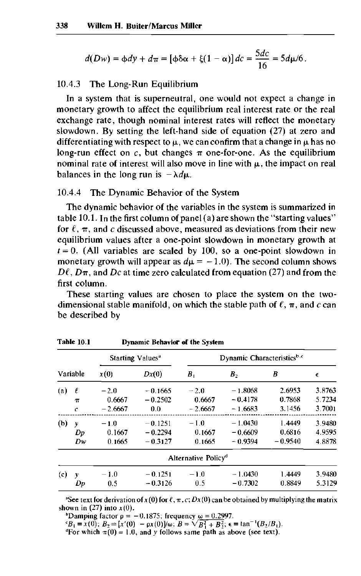$$
d(Dw) = \phi dy + d\pi = [\phi \delta \alpha + \xi (1-\alpha)] d\mathbf{c} = \frac{5dc}{16} = 5d\mu/6.
$$

#### 10.4.3 The Long-Run Equilibrium

In a system that is superneutral, one would not expect a change in monetary growth to affect the equilibrium real interest rate or the real exchange rate, though nominal interest rates will reflect the monetary slowdown. By setting the left-hand side of equation (27) at zero and differentiating with respect to  $\mu$ , we can confirm that a change in  $\mu$  has no long-run effect on  $c$ , but changes  $\pi$  one-for-one. As the equilibrium nominal rate of interest will also move in line with  $\mu$ , the impact on real balances in the long run is  $-\lambda d\mu$ .

#### 10.4.4 The Dynamic Behavior of the System

The dynamic behavior of the variables in the system is summarized in table 10.1. In the first column of panel (a) are shown the "starting values" for  $\ell$ ,  $\pi$ , and c discussed above, measured as deviations from their new equilibrium values after a one-point slowdown in monetary growth at  $t = 0$ . (All variables are scaled by 100, so a one-point slowdown in monetary growth will appear as  $d\mu = -1.0$ ). The second column shows  $D\ell$ ,  $D\pi$ , and Dc at time zero calculated from equation (27) and from the first column.

These starting values are chosen to place the system on the twodimensional stable manifold, on which the stable path of  $\ell$ ,  $\pi$ , and c can be described by

|          |             |           | Starting Values <sup>a</sup> | Dynamic Characteristicsb.c      |           |           |        |  |  |  |  |
|----------|-------------|-----------|------------------------------|---------------------------------|-----------|-----------|--------|--|--|--|--|
| Variable |             | x(0)      | Dx(0)                        | $B_1$                           | $B_{2}$   | B         | €      |  |  |  |  |
| (a)      | ℓ           | $-2.0$    | $-0.1665$                    | $-2.0$                          | $-1.8068$ | 2.6953    | 3.8763 |  |  |  |  |
|          | $\pi$       | 0.6667    | $-0.2502$                    | 0.6667                          | $-0.4178$ | 0.7868    | 5 7234 |  |  |  |  |
|          | $\mathbf c$ | $-2.6667$ | 0.0                          | $-2.6667$                       | $-1.6683$ | 3.1456    | 3.7001 |  |  |  |  |
| (b)      | y           | $-1.0$    | $-0.1251$                    | $-1.0$                          | $-1.0430$ | 1.4449    | 3.9480 |  |  |  |  |
|          | Dp          | 0.1667    | $-0.2294$                    | 0.1667                          | $-0.6609$ | 0.6816    | 4.9595 |  |  |  |  |
|          | Dw          | 0.1665    | $-0.3127$                    | 0.1665                          | $-0.9394$ | $-0.9540$ | 4.8878 |  |  |  |  |
|          |             |           |                              | Alternative Policy <sup>d</sup> |           |           |        |  |  |  |  |
| (c)      | v           | $-1.0$    | $-0.1251$                    | $-1.0$                          | $-1.0430$ | 1.4449    | 3.9480 |  |  |  |  |
|          | Dp          | 0.5       | $-0.3126$                    | 0.5                             | $-0.7302$ | 0.8849    | 5.3129 |  |  |  |  |

**Table 10.1 Dynamic Behavior of the System**

<sup>a</sup>See text for derivation of  $x(0)$  for  $\ell, \pi, c; Dx(0)$  can be obtained by multiplying the matrix shown in  $(27)$  into  $x(0)$ .

bDamping factor  $\rho = -0.1875$ ; frequency  $\omega = 0.2997$ .

 $E_B = x(0); B_2 = [x'(0) - px(0)]/\omega; B = \sqrt{B_1^2 + B_2^2}; \epsilon = \tan^{-1}(B_2/B_1).$ 

For which  $\pi(0) = 1.0$ , and y follows same path as above (see text).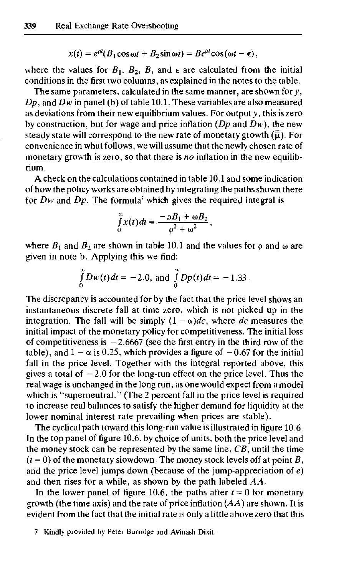$$
x(t) = e^{\rho t} (B_1 \cos \omega t + B_2 \sin \omega t) = Be^{\rho t} \cos (\omega t - \epsilon),
$$

where the values for  $B_1$ ,  $B_2$ ,  $B_3$ , and  $\epsilon$  are calculated from the initial conditions in the first two columns, as explained in the notes to the table.

The same parameters, calculated in the same manner, are shown *fory, Dp,* and *Dw* in panel (b) of table 10.1. These variables are also measured as deviations from their new equilibrium values. For output *y,* this is zero by construction, but for wage and price inflation *{Dp* and *Dw),* the new steady state will correspond to the new rate of monetary growth  $(\vec{\overline{\mu}})$ . For convenience in what follows, we will assume that the newly chosen rate of monetary growth is zero, so that there is *no* inflation in the new equilibrium.

A check on the calculations contained in table 10.1 and some indication of how the policy works are obtained by integrating the paths shown there for  $Dw$  and  $Dp$ . The formula<sup>7</sup> which gives the required integral is

$$
\int_{0}^{\infty} x(t) dt = \frac{-\rho B_1 + \omega B_2}{\rho^2 + \omega^2},
$$

where  $B_1$  and  $B_2$  are shown in table 10.1 and the values for  $\rho$  and  $\omega$  are given in note b. Applying this we find:

$$
\int_{0}^{\infty} Dw(t) dt = -2.0, \text{ and } \int_{0}^{\infty} Dp(t) dt = -1.33.
$$

The discrepancy is accounted for by the fact that the price level shows an instantaneous discrete fall at time zero, which is not picked up in the integration. The fall will be simply  $(1 - \alpha)dc$ , where dc measures the initial impact of the monetary policy for competitiveness. The initial loss of competitiveness is  $-2.6667$  (see the first entry in the third row of the table), and  $1 - \alpha$  is 0.25, which provides a figure of  $-0.67$  for the initial fall in the price level. Together with the integral reported above, this gives a total of  $-2.0$  for the long-run effect on the price level. Thus the real wage is unchanged in the long run, as one would expect from a model which is "superneutral." (The 2 percent fall in the price level is required to increase real balances to satisfy the higher demand for liquidity at the lower nominal interest rate prevailing when prices are stable).

The cyclical path toward this long-run value is illustrated in figure 10.6. In the top panel of figure 10.6, by choice of units, both the price level and the money stock can be represented by the same line, *CB,* until the time  $(t = 0)$  of the monetary slowdown. The money stock levels off at point *B*, and the price level jumps down (because of the jump-appreciation of *e)* and then rises for a while, as shown by the path labeled *AA.*

In the lower panel of figure 10.6, the paths after  $t = 0$  for monetary growth (the time axis) and the rate of price inflation *[AA)* are shown. It is evident from the fact that the initial rate is only a little above zero that this

<sup>7.</sup> Kindly provided by Peter Burridge and Avinash Dixit.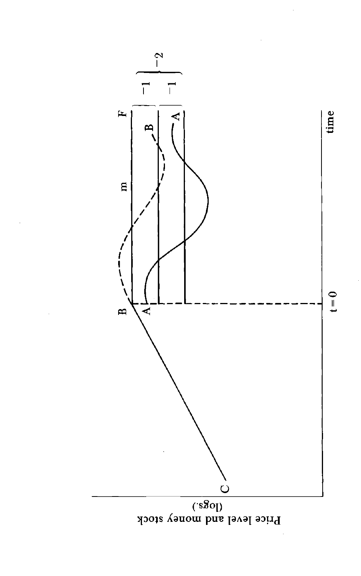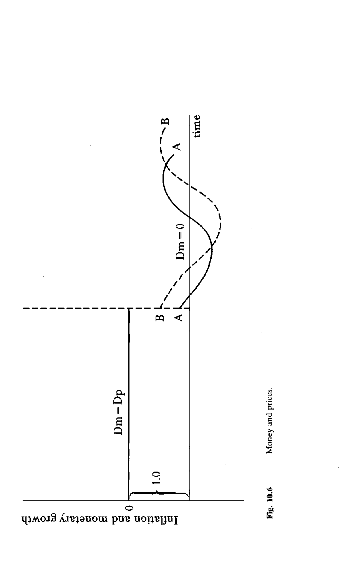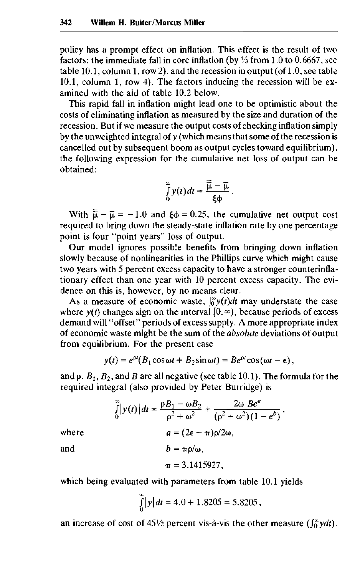policy has a prompt effect on inflation. This effect is the result of two factors: the immediate fall in core inflation (by *Vs* from 1.0 to 0.6667, see table 10.1, column 1, row 2), and the recession in output (of 1.0, see table 10.1, column 1, row 4). The factors inducing the recession will be examined with the aid of table 10.2 below.

This rapid fall in inflation might lead one to be optimistic about the costs of eliminating inflation as measured by the size and duration of the recession. But if we measure the output costs of checking inflation simply by the unweighted integral of *y* (which means that some of the recession is cancelled out by subsequent boom as output cycles toward equilibrium), the following expression for the cumulative net loss of output can be obtained:

$$
\int_{0}^{\infty} y(t) dt = \frac{\overline{\overline{\mu}} - \overline{\mu}}{\xi \Phi}
$$

With  $\overline{\overline{\mathfrak{u}}} - \overline{\mathfrak{u}} = -1.0$  and  $\xi \phi = 0.25$ , the cumulative net output cost required to bring down the steady-state inflation rate by one percentage point is four "point years" loss of output.

Our model ignores possible benefits from bringing down inflation slowly because of nonlinearities in the Phillips curve which might cause two years with 5 percent excess capacity to have a stronger counterinflationary effect than one year with 10 percent excess capacity. The evidence on this is, however, by no means clear.

As a measure of economic waste,  $\int_0^\infty y(t)dt$  may understate the case where  $y(t)$  changes sign on the interval  $[0, \infty)$ , because periods of excess demand will "offset" periods of excess supply. A more appropriate index of economic waste might be the sum of the *absolute* deviations of output from equilibrium. For the present case

$$
y(t) = e^{\rho t} (B_1 \cos \omega t + B_2 \sin \omega t) = Be^{\rho t} \cos (\omega t - \epsilon),
$$

and  $\rho$ ,  $B_1$ ,  $B_2$ , and  $B$  are all negative (see table 10.1). The formula for the required integral (also provided by Peter Burridge) is

 $\int_{0}^{\infty} |y(t)| dt = \frac{\rho B_1 - \omega B_2}{\rho^2 + \omega^2} + \frac{2\omega B e^a}{(\rho^2 + \omega^2)(1 - e^b)},$ where  $a = (2\epsilon - \pi)\rho/2\omega$ , and  $b = \pi \rho/\omega$ ,  $\pi = 3.1415927$ ,

which being evaluated with parameters from table 10.1 yields

$$
\int_{0}^{\infty} |y| dt = 4.0 + 1.8205 = 5.8205,
$$

an increase of cost of  $45\frac{1}{2}$  percent vis-à-vis the other measure  $\int_0^{\infty}$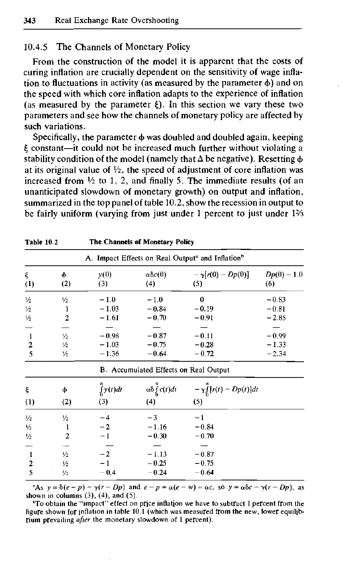## 10.4.5 The Channels of Monetary Policy

From the construction of the model it is apparent that the costs of curing inflation are crucially dependent on the sensitivity of wage inflation to fluctuations in activity (as measured by the parameter  $\phi$ ) and on the speed with which core inflation adapts to the experience of inflation (as measured by the parameter  $\xi$ ). In this section we vary these two parameters and see how the channels of monetary policy are affected by such variations.

Specifically, the parameter  $\phi$  was doubled and doubled again, keeping £ constant—it could not be increased much further without violating a stability condition of the model (namely that  $\Delta$  be negative). Resetting  $\phi$ at its original value of  $\frac{1}{2}$ , the speed of adjustment of core inflation was increased from *Vi* to 1, 2, and finally 5. The immediate results (of an unanticipated slowdown of monetary growth) on output and inflation, summarized in the top panel of table 10.2, show the recession in output to be fairly uniform (varying from just under 1 percent to just under 1<sup>2</sup>/<sub>3</sub>

| Table 10.2                                                                |                                                        | The Channels of Monetary Policy                                          |                                                             |                                                             |               |  |  |  |  |  |  |
|---------------------------------------------------------------------------|--------------------------------------------------------|--------------------------------------------------------------------------|-------------------------------------------------------------|-------------------------------------------------------------|---------------|--|--|--|--|--|--|
|                                                                           |                                                        | A. Impact Effects on Real Output <sup>a</sup> and Inflation <sup>b</sup> |                                                             |                                                             |               |  |  |  |  |  |  |
| ξ                                                                         | ф                                                      | y(0)                                                                     | $\alpha\delta c(0)$                                         | $-\gamma[r(0)-Dp(0)]$                                       | $Dp(0) - 1.0$ |  |  |  |  |  |  |
| (1)                                                                       | (2)                                                    | (3)                                                                      | (4)                                                         | (5)                                                         | (6)           |  |  |  |  |  |  |
| $\frac{1}{2}$                                                             | 1/2                                                    | $-1.0$                                                                   | $-1.0$                                                      | $\boldsymbol{0}$                                            | $-0.83$       |  |  |  |  |  |  |
| $\frac{1}{2}$                                                             | 1                                                      | $-1.03$                                                                  | $-0.84$                                                     | $-0.19$                                                     | $-0.81$       |  |  |  |  |  |  |
| $\frac{1}{2}$                                                             | $\overline{2}$                                         | $-1.61$                                                                  | $-0.70$                                                     | $-0.91$                                                     | $-2.85$       |  |  |  |  |  |  |
| 1                                                                         | 1/2                                                    | $-0.98$                                                                  | $-0.87$                                                     | $-0.11$                                                     | $-0.99$       |  |  |  |  |  |  |
| $\overline{2}$                                                            | 1/2                                                    | $-1.03$                                                                  | $-0.75$                                                     | $-0.28$                                                     | $-1.33$       |  |  |  |  |  |  |
| 5                                                                         | 1/2                                                    | $-1.36$                                                                  | $-0.64$                                                     | $-0.72$                                                     | $-2.34$       |  |  |  |  |  |  |
|                                                                           |                                                        |                                                                          | <b>B.</b> Accumulated Effects on Real Output                |                                                             |               |  |  |  |  |  |  |
| ξ                                                                         | ф                                                      | $\int_{0} y(t) dt$                                                       | $\alpha\delta\int_{0}^{\infty}c(t)dt$                       | $-\gamma \int_{0}^{\infty} [r(t) - Dp(t)]dt$                |               |  |  |  |  |  |  |
| (1)                                                                       | (2)                                                    | (3)                                                                      | (4)                                                         | (5)                                                         |               |  |  |  |  |  |  |
| $\frac{1}{2}$<br>1/2<br>1/2<br>$\begin{array}{c} 1 \\ 2 \\ 5 \end{array}$ | 1⁄2<br>1<br>2<br>$\frac{1}{2}$<br>$\frac{1}{2}$<br>1/2 | $-4$<br>$-2$<br>$-1$<br>$-2$<br>$-0.4$                                   | $-3$<br>$-1.16$<br>$-0.30$<br>$-1.13$<br>$-0.25$<br>$-0.24$ | $-1$<br>$-0.84$<br>$-0.70$<br>$-0.87$<br>$-0.75$<br>$-0.64$ |               |  |  |  |  |  |  |

<sup>a</sup>As  $y = \delta(e - p) - \gamma(r - Dp)$  and  $e - p = \alpha(e - w) = \alpha c$ , so  $y = \alpha \delta c - \gamma(r - Dp)$ , as shown in columns  $(3)$ ,  $(4)$ , and  $(5)$ .

<sup>b</sup>To obtain the "impact" effect on price inflation we have to subtract 1 percent from the figure shown for inflation in table 10.1 (which was measured from the new, lower equilibrium prevailing *after* the monetary slowdown of 1 percent).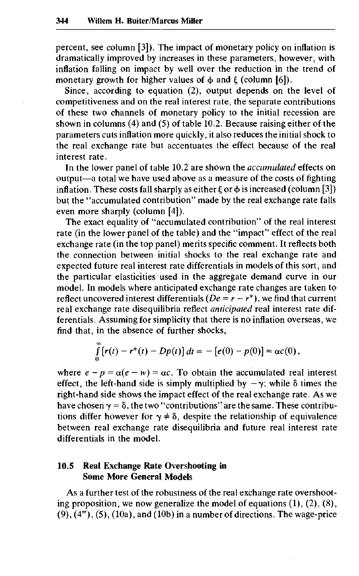percent, see column [3]). The impact of monetary policy on inflation is dramatically improved by increases in these parameters, however, with inflation falling on impact by well over the reduction in the trend of monetary growth for higher values of  $\phi$  and  $\xi$  (column [6]).

Since, according to equation (2), output depends on the level of competitiveness and on the real interest rate, the separate contributions of these two channels of monetary policy to the initial recession are shown in columns (4) and (5) of table 10.2. Because raising either of the parameters cuts inflation more quickly, it also reduces the initial shock to the real exchange rate but accentuates the effect because of the real interest rate.

In the lower panel of table 10.2 are shown the *accumulated* effects on output—a total we have used above as a measure of the costs of fighting inflation. These costs fall sharply as either  $\xi$  or  $\phi$  is increased (column [3]) but the "accumulated contribution" made by the real exchange rate falls even more sharply (column [4]).

The exact equality of "accumulated contribution" of the real interest rate (in the lower panel of the table) and the "impact" effect of the real exchange rate (in the top panel) merits specific comment. It reflects both the connection between initial shocks to the real exchange rate and expected future real interest rate differentials in models of this sort, and the particular elasticities used in the aggregate demand curve in our model. In models where anticipated exchange rate changes are taken to reflect uncovered interest differentials  $(De = r - r^*)$ , we find that current real exchange rate disequilibria reflect *anticipated* real interest rate differentials. Assuming for simplicity that there is no inflation overseas, we find that, in the absence of further shocks,

$$
\int_{0}^{\infty} [r(t) - r^*(t) - Dp(t)] dt = - [e(0) - p(0)] = \alpha c(0),
$$

where  $e - p = \alpha(e - w) = \alpha c$ . To obtain the accumulated real interest effect, the left-hand side is simply multiplied by  $-\gamma$ ; while  $\delta$  times the right-hand side shows the impact effect of the real exchange rate. As we have chosen  $\gamma = \delta$ , the two "contributions" are the same. These contributions differ however for  $y \neq \delta$ , despite the relationship of equivalence between real exchange rate disequilibria and future real interest rate differentials in the model.

# **10.5 Real Exchange Rate Overshooting in Some More General Models**

As a further test of the robustness of the real exchange rate overshooting proposition, we now generalize the model of equations (1), (2), (8),  $(9)$ ,  $(4<sup>m</sup>)$ ,  $(5)$ ,  $(10a)$ , and  $(10b)$  in a number of directions. The wage-price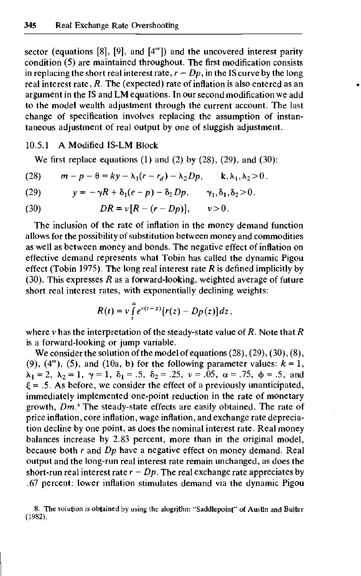sector (equations [8], [9], and [4'"]) and the uncovered interest parity condition (5) are maintained throughout. The first modification consists in replacing the short real interest rate,  $r - Dp$ , in the IS curve by the long real interest rate, *R.* The (expected) rate of inflation is also entered as an argument in the IS and LM equations. In our second modification we add to the model wealth adjustment through the current account. The last change of specification involves replacing the assumption of instantaneous adjustment of real output by one of sluggish adjustment.

# 10.5.1 A Modified IS-LM Block

We first replace equations  $(1)$  and  $(2)$  by  $(28)$ ,  $(29)$ , and  $(30)$ :

(28) 
$$
m-p-\theta = ky - \lambda_1(r-r_d) - \lambda_2 Dp, \qquad k, \lambda_1, \lambda_2 > 0.
$$

(29) 
$$
y = -\gamma R + \delta_1(e-p) - \delta_2 D p, \qquad \gamma_1, \delta_1, \delta_2 > 0.
$$

(30) 
$$
DR = v[R - (r - Dp)], v > 0.
$$

The inclusion of the rate of inflation in the money demand function allows for the possibility of substitution between money and commodities as well as between money and bonds. The negative effect of inflation on effective demand represents what Tobin has called the dynamic Pigou effect (Tobin 1975). The long real interest rate *R* is defined implicitly by (30). This expresses *R* as a forward-looking, weighted average of future short real interest rates, with exponentially declining weights:

$$
R(t) = v \int_{t}^{\infty} e^{v(t-z)} [r(z) - Dp(z)] dz,
$$

where v has the interpretation of the steady-state value of *R.* Note that *R* is a forward-looking or jump variable.

We consider the solution of the model of equations  $(28)$ ,  $(29)$ ,  $(30)$ ,  $(8)$ , (9),  $(4<sup>m</sup>)$ , (5), and (10a, b) for the following parameter values:  $k = 1$ ,  $\lambda_1 = 2, \lambda_2 = 1, \gamma = 1, \delta_1 = .5, \delta_2 = .25, \nu = .05, \alpha = .75, \phi = .5, \text{ and}$  $\xi = .5$ . As before, we consider the effect of a previously unanticipated, immediately implemented one-point reduction in the rate of monetary growth, Dm.<sup>8</sup> The steady-state effects are easily obtained. The rate of price inflation, core inflation, wage inflation, and exchange rate depreciation decline by one point, as does the nominal interest rate. Real money balances increase by 2.83 percent, more than in the original model, because both *r* and *Dp* have a negative effect on money demand. Real output and the long-run real interest rate remain unchanged, as does the short-run real interest rate  $r - Dp$ . The real exchange rate appreciates by .67 percent: lower inflation stimulates demand via the dynamic Pigou

<sup>8.</sup> The solution is obtained by using the alogrithm "Saddlepoint" of Austin and Buiter (1982).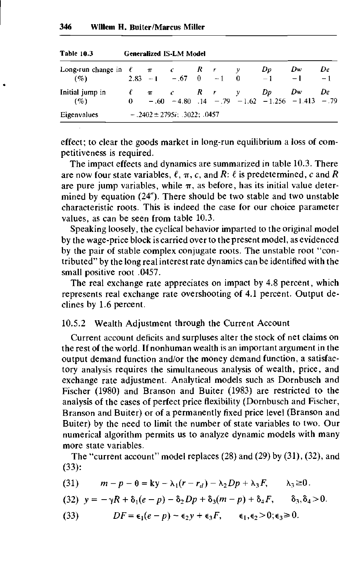| 1901 10.3                                              | сепегандея 15-LM моден |  |  |  |  |  |         |                                                                                                          |    |
|--------------------------------------------------------|------------------------|--|--|--|--|--|---------|----------------------------------------------------------------------------------------------------------|----|
| Long-run change in $\ell$ $\pi$ $c$ $R$ $r$ $y$<br>(%) |                        |  |  |  |  |  | $D_{D}$ | Dw<br>$2.83 - 1 - 67 = 0 -1 = 0 = 1 -1 = 1$                                                              | De |
| Initial jump in<br>(%)                                 |                        |  |  |  |  |  |         | $\ell$ $\pi$ $c$ $R$ $r$ $y$ $Dp$ $Dw$ $De$<br>$0 - .60 - 4.80$ $.14 - .79 - 1.62 - 1.256 - 1.413 - .79$ |    |
| $-.2402 \pm 2795i$ ; $.3022$ ; $.0457$<br>Eigenvalues  |                        |  |  |  |  |  |         |                                                                                                          |    |

**Table 10.3** General **Modelling** 

effect; to clear the goods market in long-run equilibrium a loss of competitiveness is required.

The impact effects and dynamics are summarized in table 10.3. There are now four state variables,  $\ell$ ,  $\pi$ , c, and R:  $\ell$  is predetermined, c and R are pure jump variables, while  $\pi$ , as before, has its initial value determined by equation (24"). There should be two stable and two unstable characteristic roots. This is indeed the case for our choice parameter values, as can be seen from table 10.3.

Speaking loosely, the cyclical behavior imparted to the original model by the wage-price block is carried over to the present model, as evidenced by the pair of stable complex conjugate roots. The unstable root "contributed" by the long real interest rate dynamics can be identified with the small positive root .0457.

The real exchange rate appreciates on impact by 4.8 percent, which represents real exchange rate overshooting of 4.1 percent. Output declines by 1.6 percent.

### 10.5.2 Wealth Adjustment through the Current Account

Current account deficits and surpluses alter the stock of net claims on the rest of the world. If nonhuman wealth is an important argument in the output demand function and/or the money demand function, a satisfactory analysis requires the simultaneous analysis of wealth, price, and exchange rate adjustment. Analytical models such as Dornbusch and Fischer (1980) and Branson and Buiter (1983) are restricted to the analysis of the cases of perfect price flexibility (Dornbusch and Fischer, Branson and Buiter) or of a permanently fixed price level (Branson and Buiter) by the need to limit the number of state variables to two. Our numerical algorithm permits us to analyze dynamic models with many more state variables.

The "current account" model replaces  $(28)$  and  $(29)$  by  $(31)$ ,  $(32)$ , and (33):

- (31)  $m-p-\theta = ky-\lambda_1(r-r_d) \lambda_2Dp + \lambda_3F, \lambda_3 \geq 0.$
- (32)  $y = -\gamma R + \delta_1(e-p) \delta_2 Dp + \delta_3(m-p) + \delta_4 F$ ,  $\delta_3, \delta_4 > 0$ .
- (33)  $DF = \epsilon_1(e p) \epsilon_2y + \epsilon_3F, \qquad \epsilon_1, \epsilon_2 > 0; \epsilon_3 \ge 0.$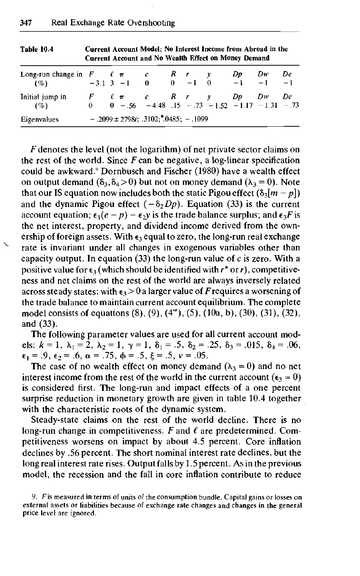| Long-run change in $F \quad \ell \pi \quad c \quad R \quad r \quad y \quad Dp$ |  |  |  |                                                                                   |  |  |  |  | $Dw =$ | De |
|--------------------------------------------------------------------------------|--|--|--|-----------------------------------------------------------------------------------|--|--|--|--|--------|----|
| $( \% )$                                                                       |  |  |  | $-3.1$ 3 $-1$ 0 0 $-1$ 0 $-1$ $-1$                                                |  |  |  |  |        |    |
| Initial jump in                                                                |  |  |  | $F \quad \ell \pi \quad c \quad R \quad r \quad y \quad Dp \quad Dw \quad De$     |  |  |  |  |        |    |
| (%)                                                                            |  |  |  | $0 \t - .56 \t - .4.48 \t .15 \t - .73 \t - .1.52 \t - .1.17 \t - .1.31 \t - .73$ |  |  |  |  |        |    |
| Eigenvalues                                                                    |  |  |  | $-.2099 \pm 2798i$ ; $.3102; 0.485; -1099$                                        |  |  |  |  |        |    |

**Table 10.4 Current Account Model; No Interest Income from Abroad in the Current Account and No Wealth Effect on Money Demand**

*F* denotes the level (not the logarithm) of net private sector claims on the rest of the world. Since  $F$  can be negative, a log-linear specification could be awkward.<sup>9</sup> Dornbusch and Fischer (1980) have a wealth effect on output demand  $(\delta_3, \delta_4 > 0)$  but not on money demand  $(\lambda_3 = 0)$ . Note that our IS equation now includes both the static Pigou effect  $(\delta_3[m - p])$ and the dynamic Pigou effect  $(-\delta_2 Dp)$ . Equation (33) is the current account equation;  $\epsilon_1(e - p) - \epsilon_2 y$  is the trade balance surplus; and  $\epsilon_3 F$  is the net interest, property, and dividend income derived from the ownership of foreign assets. With  $\epsilon_3$  equal to zero, the long-run real exchange rate is invariant under all changes in exogenous variables other than capacity output. In equation (33) the long-run value of *c* is zero. With a positive value for  $\epsilon_3$  (which should be identified with  $r^*$  or r), competitiveness and net claims on the rest of the world are always inversely related across steady states; with  $\epsilon_3 > 0$  a larger value of F requires a worsening of the trade balance to maintain current account equilibrium. The complete model consists of equations (8), (9), (4"'), (5), (10a, b), (30), (31), (32), and (33).

The following parameter values are used for all current account models:  $k = 1$ ,  $\lambda_1 = 2$ ,  $\lambda_2 = 1$ ,  $\gamma = 1$ ,  $\delta_1 = .5$ ,  $\delta_2 = .25$ ,  $\delta_3 = .015$ ,  $\delta_4 = .06$ ,  $\epsilon_1 = .9, \epsilon_2 = .6, \alpha = .75, \phi = .5, \xi = .5, \nu = .05.$ 

The case of no wealth effect on money demand  $(\lambda_3 = 0)$  and no net interest income from the rest of the world in the current account ( $\epsilon_3 = 0$ ) is considered first. The long-run and impact effects of a one percent surprise reduction in monetary growth are given in table 10.4 together with the characteristic roots of the dynamic system.

Steady-state claims on the rest of the world decline. There is no long-run change in competitiveness. *F* and *€* are predetermined. Competitiveness worsens on impact by about 4.5 percent. Core inflation declines by .56 percent. The short nominal interest rate declines, but the long real interest rate rises. Output falls by 1.5 percent. As in the previous model, the recession and the fall in core inflation contribute to reduce

<sup>9.</sup> *F* is measured in terms of units of the consumption bundle. Capital gains or losses on external assets or liabilities because of exchange rate changes and changes in the general price level are ignored.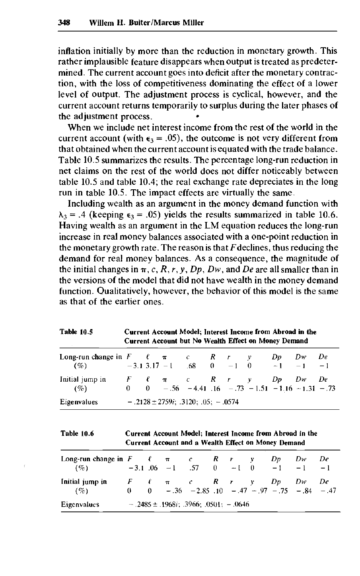inflation initially by more than the reduction in monetary growth. This rather implausible feature disappears when output is treated as predetermined. The current account goes into deficit after the monetary contraction, with the loss of competitiveness dominating the effect of a lower level of output. The adjustment process is cyclical, however, and the current account returns temporarily to surplus during the later phases of the adjustment process. •

When we include net interest income from the rest of the world in the current account (with  $\epsilon_3 = .05$ ), the outcome is not very different from that obtained when the current account is equated with the trade balance. Table 10.5 summarizes the results. The percentage long-run reduction in net claims on the rest of the world does not differ noticeably between table 10.5 and table 10.4; the real exchange rate depreciates in the long run in table 10.5. The impact effects are virtually the same.

Including wealth as an argument in the money demand function with  $\lambda_3$  = .4 (keeping  $\epsilon_3$  = .05) yields the results summarized in table 10.6. Having wealth as an argument in the LM equation reduces the long-run increase in real money balances associated with a one-point reduction in the monetary growth rate. The reason is that *F*declines, thus reducing the demand for real money balances. As a consequence, the magnitude of the initial changes in  $\pi$ , c, R, r, y, Dp, Dw, and De are all smaller than in the versions of the model that did not have wealth in the money demand function. Qualitatively, however, the behavior of this model is the same as that of the earlier ones.

| <b>Table 10.5</b>                                                                              |  |                                                                                                               | Current Account Model; Interest Income from Abroad in the<br>Current Account but No Wealth Effect on Money Demand |  |  |  |  |  |  |
|------------------------------------------------------------------------------------------------|--|---------------------------------------------------------------------------------------------------------------|-------------------------------------------------------------------------------------------------------------------|--|--|--|--|--|--|
| Long-run change in $F = \ell - \pi$ c R r y Dp Dw De<br>$(\%)$ -3.1 3.17 -1 68 0 -1 0 -1 -1 -1 |  |                                                                                                               |                                                                                                                   |  |  |  |  |  |  |
| Initial jump in<br>$(\%)$                                                                      |  | $F$ $\ell$ $\pi$ $c$ $R$ $r$ $v$ $Dp$ $Dw$ $De$<br>0 0 - $.56$ - 4.41 $.16$ - $.73$ - 1.51 - 1.16 - 1.31 - 73 |                                                                                                                   |  |  |  |  |  |  |
| Eigenvalues                                                                                    |  | $-.2128 \pm 2759i$ ; 3120; 05; - 0574                                                                         |                                                                                                                   |  |  |  |  |  |  |

**Table 10.6 Current Account Model; Interest Income from Abroad in the Current Account and a Wealth Effect on Money Demand**

| Long-run change in $F \quad \ell \quad \pi \quad c \quad R \quad r \quad y$<br>$(\% )$ |  | $-3.1$ 06 $-1$ .57 0 $-1$ 0 $-1$ $-1$ $-1$                                                                                                |  |  | Dv | Dw | De |
|----------------------------------------------------------------------------------------|--|-------------------------------------------------------------------------------------------------------------------------------------------|--|--|----|----|----|
| Initial jump in<br>$($ %)                                                              |  | $F \quad \ell \quad \pi \quad \epsilon \quad R \quad r \quad y \quad Dp \quad Dw \quad De$<br>0 0 - 36 - 2.85 10 - 47 - 97 - 75 - 84 - 47 |  |  |    |    |    |
| <b>Eigenvalues</b>                                                                     |  | $-.2485 \pm .1968i$ ; .3966; .0501; $-.0646$                                                                                              |  |  |    |    |    |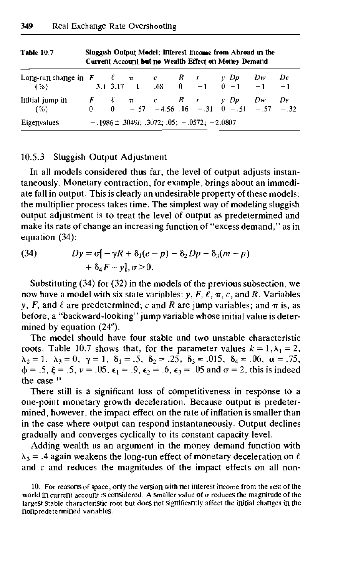| Long-run change in F $\ell$ $\pi$ $c$ R $r$ $y$ Dp<br>$(\% )$   |  |  |  |  |  |  | $-3.1$ 3.17 $-1$ .68 0 $-1$ 0 $-1$ $-1$ $-1$                                                                                   | $Dw$ De |  |  |
|-----------------------------------------------------------------|--|--|--|--|--|--|--------------------------------------------------------------------------------------------------------------------------------|---------|--|--|
| Initial jump in<br>$(\%)$                                       |  |  |  |  |  |  | $F \quad \ell \quad \pi \quad c \quad R \quad r \quad y \cdot Dp \quad Dw \quad De$<br>0 0 -.57 -4.56 16 -.31 0 -.51 -.57 -.32 |         |  |  |
| $-.1986 \pm .3049i; .3072; .05; -.0572; -2.0807$<br>Eigenvalues |  |  |  |  |  |  |                                                                                                                                |         |  |  |

**Table 10.7 Sluggish Output Model; Interest Income from Abroad in the Current Account but no Wealth Effect on Money Demand**

## 10.5.3 Sluggish Output Adjustment

In all models considered thus far, the level of output adjusts instantaneously. Monetary contraction, for example, brings about an immediate fall in output. This is clearly an undesirable property of these models: the multiplier process takes time. The simplest way of modeling sluggish output adjustment is to treat the level of output as predetermined and make its rate of change an increasing function of "excess demand," as in equation (34):

(34) 
$$
Dy = \sigma [-\gamma R + \delta_1(e-p) - \delta_2 Dp + \delta_3(m-p) + \delta_4 F - y], \sigma > 0.
$$

Substituting (34) for (32) in the models of the previous subsection, we now have a model with six state variables:  $y, F, \ell, \pi, c$ , and R. Variables *y*, *F*, and  $\ell$  are predetermined; *c* and *R* are jump variables; and  $\pi$  is, as before, a "backward-looking" jump variable whose initial value is determined by equation (24").

The model should have four stable and two unstable characteristic roots. Table 10.7 shows that, for the parameter values  $k = 1, \lambda_1 = 2$ ,  $\lambda_2 = 1$ ,  $\lambda_3 = 0$ ,  $\gamma = 1$ ,  $\delta_1 = .5$ ,  $\delta_2 = .25$ ,  $\delta_3 = .015$ ,  $\delta_4 = .06$ ,  $\alpha = .75$ ,  $\phi = .5, \xi = .5, \nu = .05, \epsilon_1 = .9, \epsilon_2 = .6, \epsilon_3 = .05$  and  $\sigma = 2$ , this is indeed the case.<sup>10</sup>

There still is a significant loss of competitiveness in response to a one-point monetary growth deceleration. Because output is predetermined, however, the impact effect on the rate of inflation is smaller than in the case where output can respond instantaneously. Output declines gradually and converges cyclically to its constant capacity level.

Adding wealth as an argument in the money demand function with  $\lambda_3$  = .4 again weakens the long-run effect of monetary deceleration on  $\ell$ and *c* and reduces the magnitudes of the impact effects on all non-

<sup>10.</sup> For reasons of space, only the version with net interest income from the rest of the world in current account is considered. A smaller value of  $\sigma$  reduces the magnitude of the largest stable characteristic root but does not significantly affect the initial changes in the nonpredetermined variables.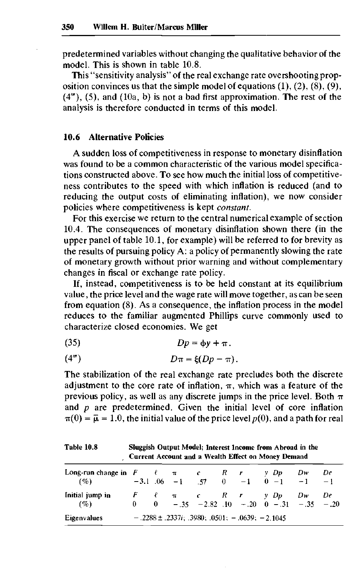predetermined variables without changing the qualitative behavior of the model. This is shown in table 10.8.

This "sensitivity analysis" of the real exchange rate overshooting proposition convinces us that the simple model of equations  $(1)$ ,  $(2)$ ,  $(8)$ ,  $(9)$ ,  $(4<sup>m</sup>)$ ,  $(5)$ , and  $(10a, b)$  is not a bad first approximation. The rest of the analysis is therefore conducted in terms of this model.

## **10.6 Alternative Policies**

A sudden loss of competitiveness in response to monetary disinflation was found to be a common characteristic of the various model specifications constructed above. To see how much the initial loss of competitiveness contributes to the speed with which inflation is reduced (and to reducing the output costs of eliminating inflation), we now consider policies where competitiveness is kept *constant.*

For this exercise we return to the central numerical example of section 10.4. The consequences of monetary disinflation shown there (in the upper panel of table 10.1, for example) will be referred to for brevity as the results of pursuing policy A: a policy of permanently slowing the rate of monetary growth without prior warning and without complementary changes in fiscal or exchange rate policy.

If, instead, competitiveness is to be held constant at its equilibrium value, the price level and the wage rate will move together, as can be seen from equation (8). As a consequence, the inflation process in the model reduces to the familiar augmented Phillips curve commonly used to characterize closed economies. We get

(35) *Dp =* cj>v + TT .

$$
(4m) \t\t D\pi = \xi(Dp - \pi).
$$

The stabilization of the real exchange rate precludes both the discrete adjustment to the core rate of inflation,  $\pi$ , which was a feature of the previous policy, as well as any discrete jumps in the price level. Both  $\pi$ and *p* are predetermined. Given the initial level of core inflation  $\pi(0) = \bar{\mu} = 1.0$ , the initial value of the price level  $p(0)$ , and a path for real

| Table 10.8                                                                           | Sluggish Output Model; Interest Income from Abroad in the<br>Current Account and a Wealth Effect on Money Demand |  |  |  |  |                                                                                                   |    |    |  |  |
|--------------------------------------------------------------------------------------|------------------------------------------------------------------------------------------------------------------|--|--|--|--|---------------------------------------------------------------------------------------------------|----|----|--|--|
| Long-run change in $F \t f \pi$ c R r y Dp<br>$(\%)$ -3.1 .06 -1 .57 0 -1 0 -1 -1 -1 |                                                                                                                  |  |  |  |  |                                                                                                   | Dw | De |  |  |
| Initial jump in<br>$( \% )$                                                          |                                                                                                                  |  |  |  |  | $F$ $\ell$ $\pi$ $c$ $R$ $r$ $y$ $Dp$ $Dw$ $De$<br>0 0 - .35 - 2.82 .10 - .20 0 - .31 - .35 - .20 |    |    |  |  |
| Eigenvalues                                                                          |                                                                                                                  |  |  |  |  | $-.2288 \pm .2337i$ ; .3980; 0501; $-.0639$ ; $-2.1045$                                           |    |    |  |  |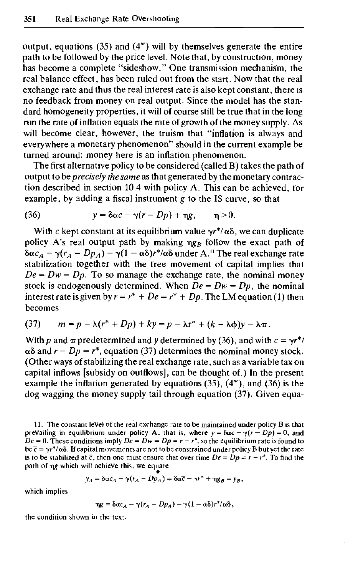output, equations  $(35)$  and  $(4<sup>m</sup>)$  will by themselves generate the entire path to be followed by the price level. Note that, by construction, money has become a complete "sideshow." One transmission mechanism, the real balance effect, has been ruled out from the start. Now that the real exchange rate and thus the real interest rate is also kept constant, there is no feedback from money on real output. Since the model has the standard homogeneity properties, it will of course still be true that in the long run the rate of inflation equals the rate of growth of the money supply. As will become clear, however, the truism that "inflation is always and everywhere a monetary phenomenon" should in the current example be turned around: money here is an inflation phenomenon.

The first alternative policy to be considered (called B) takes the path of output to *be precisely the same* as that generated by the monetary contraction described in section 10.4 with policy A. This can be achieved, for example, by adding a fiscal instrument *g* to the IS curve, so that

(36) 
$$
y = \delta \alpha c - \gamma (r - Dp) + \eta g, \qquad \eta > 0.
$$

With c kept constant at its equilibrium value  $\gamma r^* / \alpha \delta$ , we can duplicate policy A's real output path by making  $\eta g_B$  follow the exact path of  $\delta \alpha c_A - \gamma (r_A - D p_A) - \gamma (1 - \alpha \delta) r^* / \alpha \delta$  under A.<sup>11</sup> The real exchange rate stabilization together with the free movement of capital implies that  $De = Dw = Dp$ . To so manage the exchange rate, the nominal money stock is endogenously determined. When  $De = Dw = Dp$ , the nominal interest rate is given by  $r = r^* + De = r^* + Dp$ . The LM equation (1) then becomes

$$
(37) \qquad m = p - \lambda (r^* + Dp) + ky = p - \lambda r^* + (k - \lambda \phi)y - \lambda \pi.
$$

With p and  $\pi$  predetermined and y determined by (36), and with  $c = \gamma r^{*}/\sqrt{r}$  $\alpha\delta$  and  $r - Dp = r^*$ , equation (37) determines the nominal money stock. (Other ways of stabilizing the real exchange rate, such as a variable tax on capital inflows [subsidy on outflows], can be thought of.) In the present example the inflation generated by equations  $(35)$ ,  $(4<sup>m</sup>)$ , and  $(36)$  is the dog wagging the money supply tail through equation  $(37)$ . Given equa-

$$
y_A = \delta \alpha c_A - \gamma (r_A - Dp_A) = \delta \alpha \overline{c} - \gamma r^* + \eta g_B = y_B,
$$

which implies

$$
\eta g = \delta \alpha c_A - \gamma (r_A - Dp_A) - \gamma (1 - \alpha \delta) r^* / \alpha \delta,
$$

the condition shown in the text.

<sup>11.</sup> The constant level of the real exchange rate to be maintained under policy B is that prevailing in equilibrium under policy A, that is, where  $y = \delta \alpha c - \gamma (r - Dp) = 0$ , and  $Dc = 0$ . These conditions imply  $De = Dw = Dp = r - r^*$ , so the equilibrium rate is found to be  $\bar{c} = \gamma r^*/\alpha \delta$ . If capital movements are not to be constrained under policy B but yet the rate is to be stabilized at  $\bar{c}$ , then one must ensure that over time  $De = Dp = r - r^*$ . To find the path of  $\eta g$  which will achieve this, we equate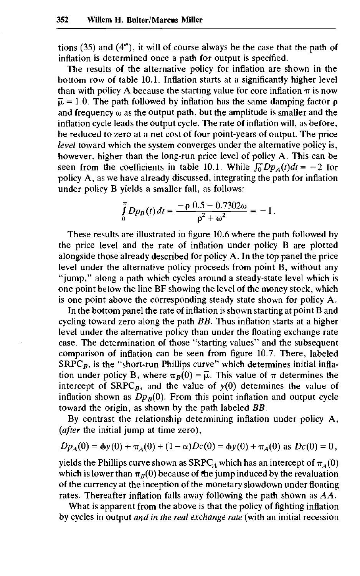tions  $(35)$  and  $(4<sup>m</sup>)$ , it will of course always be the case that the path of inflation is determined once a path for output is specified.

The results of the alternative policy for inflation are shown in the bottom row of table 10.1. Inflation starts at a significantly higher level than with policy A because the starting value for core inflation  $\pi$  is now  $\overline{\mu} = 1.0$ . The path followed by inflation has the same damping factor p and frequency  $\omega$  as the output path, but the amplitude is smaller and the inflation cycle leads the output cycle. The rate of inflation will, as before, be reduced to zero at a net cost of four point-years of output. The price *level* toward which the system converges under the alternative policy is, however, higher than the long-run price level of policy A. This can be seen from the coefficients in table 10.1. While  $\int_0^{\infty} Dp_A(t)dt = -2$  for policy A, as we have already discussed, integrating the path for inflation under policy B yields a smaller fall, as follows:

$$
\int_{0}^{\infty} Dp_B(t) dt = \frac{-\rho \ 0.5 - 0.7302\omega}{\rho^2 + \omega^2} = -1.
$$

These results are illustrated in figure 10.6 where the path followed by the price level and the rate of inflation under policy B are plotted alongside those already described for policy A. In the top panel the price level under the alternative policy proceeds from point B, without any "jump," along a path which cycles around a steady-state level which is one point below the line BF showing the level of the money stock, which is one point above the corresponding steady state shown for policy A.

In the bottom panel the rate of inflation is shown starting at point B and cycling toward zero along the path *BB.* Thus inflation starts at a higher level under the alternative policy than under the floating exchange rate case. The determination of those "starting values" and the subsequent comparison of inflation can be seen from figure 10.7. There, labeled  $SRPC_B$ , is the "short-run Phillips curve" which determines initial inflation under policy B, where  $\pi_B(0) = \overline{\mu}$ . This value of  $\pi$  determines the intercept of  $SRPC_B$ , and the value of  $y(0)$  determines the value of inflation shown as  $Dp_B(0)$ . From this point inflation and output cycle toward the origin, as shown by the path labeled *BB.*

By contrast the relationship determining inflation under policy A, *(after* the initial jump at time zero),

$$
Dp_A(0) = \phi y(0) + \pi_A(0) + (1 - \alpha)Dc(0) = \phi y(0) + \pi_A(0)
$$
 as  $Dc(0) = 0$ ,

yields the Phillips curve shown as SRPC<sub>A</sub> which has an intercept of  $\pi_A(0)$ which is lower than  $\pi_B(0)$  because of the jump induced by the revaluation of the currency at the inception of the monetary slowdown under floating rates. Thereafter inflation falls away following the path shown as *AA.*

What is apparent from the above is that the policy of fighting inflation by cycles in output *and in the real exchange rate* (with an initial recession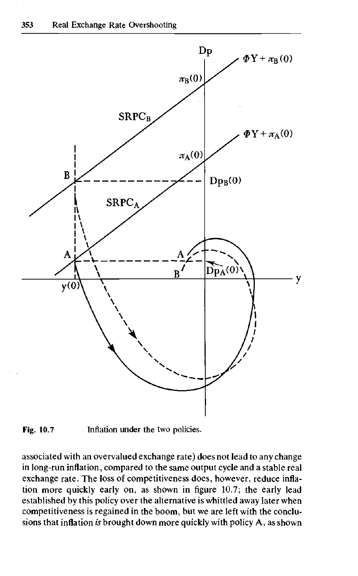



associated with an overvalued exchange rate) does not lead to any change in long-run inflation, compared to the same output cycle and a stable real exchange rate. The loss of competitiveness does, however, reduce inflation more quickly early on, as shown in figure 10.7; the early lead established by this policy over the alternative is whittled away later when competitiveness is regained in the boom, but we are left with the conclusions that inflation *is* brought down more quickly with policy A, as shown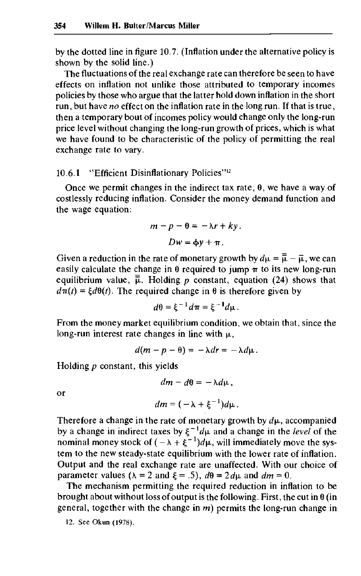by the dotted line in figure 10.7. (Inflation under the alternative policy is shown by the solid line.)

The fluctuations of the real exchange rate can therefore be seen to have effects on inflation not unlike those attributed to temporary incomes policies by those who argue that the latter hold down inflation in the short run, but have *no* effect on the inflation rate in the long run. If that is true, then a temporary bout of incomes policy would change only the long-run price level without changing the long-run growth of prices, which is what we have found to be characteristic of the policy of permitting the real exchange rate to vary.

## 10.6.1 "Efficient Disinflationary Policies"<sup>12</sup>

Once we permit changes in the indirect tax rate,  $\theta$ , we have a way of costlessly reducing inflation. Consider the money demand function and the wage equation:

$$
m - p - \theta = -\lambda r + ky.
$$
  

$$
Dw = \phi y + \pi.
$$

Given a reduction in the rate of monetary growth by  $d\mu = \overline{\overline{\mu}} - \overline{\mu}$ , we can easily calculate the change in  $\theta$  required to jump  $\pi$  to its new long-run equilibrium value,  $\bar{\bar{\mu}}$ . Holding *p* constant, equation (24) shows that  $d\pi(t) = \xi d\theta(t)$ . The required change in  $\theta$  is therefore given by

$$
d\theta = \xi^{-1}d\pi = \xi^{-1}d\mu.
$$

From the money market equilibrium condition, we obtain that, since the long-run interest rate changes in line with  $\mu$ ,

$$
d(m-p-\theta)=-\lambda dr=-\lambda d\mu.
$$

Holding *p* constant, this yields

$$
dm-d\theta=-\lambda d\mu,
$$

or

$$
dm=(-\lambda+\xi^{-1})d\mu.
$$

Therefore a change in the rate of monetary growth by  $d\mu$ , accompanied by a change in indirect taxes by  $\xi^{-1}d\mu$  and a change in the *level* of the nominal money stock of  $(-\lambda + \xi^{-1})d\mu$ , will immediately move the system to the new steady-state equilibrium with the lower rate of inflation. Output and the real exchange rate are unaffected. With our choice of parameter values ( $\lambda = 2$  and  $\xi = .5$ ),  $d\theta = 2d\mu$  and  $dm = 0$ .

The mechanism permitting the required reduction in inflation to be brought about without loss of output is the following. First, the cut in  $\theta$  (in general, together with the change in *m)* permits the long-run change in

12. See Okun (1978).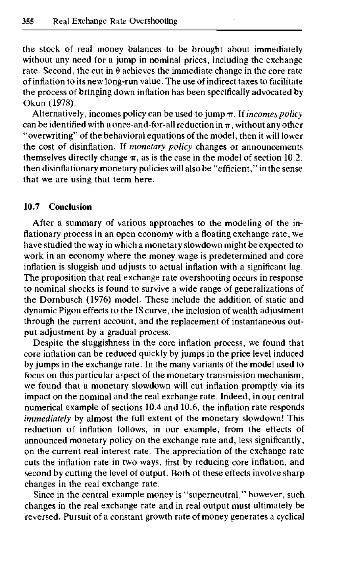the stock of real money balances to be brought about immediately without any need for a jump in nominal prices, including the exchange rate. Second, the cut in  $\theta$  achieves the immediate change in the core rate of inflation to its new long-run value. The use of indirect taxes to facilitate the process of bringing down inflation has been specifically advocated by Okun (1978).

Alternatively, incomes policy can be used to jump  $\pi$ . If *incomes policy* can be identified with a once-and-for-all reduction in  $\pi$ , without any other "overwriting" of the behavioral equations of the model, then it will lower the cost of disinflation. If *monetary policy* changes or announcements themselves directly change  $\pi$ , as is the case in the model of section 10.2, then disinflationary monetary policies will also be "efficient," in the sense that we are using that term here.

## **10.7 Conclusion**

After a summary of various approaches to the modeling of the inflationary process in an open economy with a floating exchange rate, we have studied the way in which a monetary slowdown might be expected to work in an economy where the money wage is predetermined and core inflation is sluggish and adjusts to actual inflation with a significant lag. The proposition that real exchange rate overshooting occurs in response to nominal shocks is found to survive a wide range of generalizations of the Dornbusch (1976) model. These include the addition of static and dynamic Pigou effects to the IS curve, the inclusion of wealth adjustment through the current account, and the replacement of instantaneous output adjustment by a gradual process.

Despite the sluggishness in the core inflation process, we found that core inflation can be reduced quickly by jumps in the price level induced by jumps in the exchange rate. In the many variants of the model used to focus on this particular aspect of the monetary transmission mechanism, we found that a monetary slowdown will cut inflation promptly via its impact on the nominal and the real exchange rate. Indeed, in our central numerical example of sections 10.4 and 10.6, the inflation rate responds *immediately* by almost the full extent of the monetary slowdown! This reduction of inflation follows, in our example, from the effects of announced monetary policy on the exchange rate and, less significantly, on the current real interest rate. The appreciation of the exchange rate cuts the inflation rate in two ways, first by reducing core inflation, and second by cutting the level of output. Both of these effects involve sharp changes in the real exchange rate.

Since in the central example money is "superneutral," however, such changes in the real exchange rate and in real output must ultimately be reversed. Pursuit of a constant growth rate of money generates a cyclical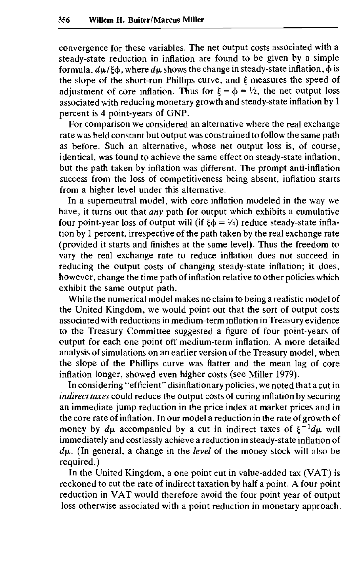convergence for these variables. The net output costs associated with a steady-state reduction in inflation are found to be given by a simple formula,  $d\mu/\xi\phi$ , where  $d\mu$  shows the change in steady-state inflation,  $\dot{\phi}$  is the slope of the short-run Phillips curve, and £ measures the speed of adjustment of core inflation. Thus for  $\xi = \phi = V_2$ , the net output loss associated with reducing monetary growth and steady-state inflation by 1 percent is 4 point-years of GNP.

For comparison we considered an alternative where the real exchange rate was held constant but output was constrained to follow the same path as before. Such an alternative, whose net output loss is, of course, identical, was found to achieve the same effect on steady-state inflation, but the path taken by inflation was different. The prompt anti-inflation success from the loss of competitiveness being absent, inflation starts from a higher level under this alternative.

In a superneutral model, with core inflation modeled in the way we have, it turns out that *any* path for output which exhibits a cumulative four point-year loss of output will (if  $\xi \dot{\phi} = V_4$ ) reduce steady-state inflation by 1 percent, irrespective of the path taken by the real exchange rate (provided it starts and finishes at the same level). Thus the freedom to vary the real exchange rate to reduce inflation does not succeed in reducing the output costs of changing steady-state inflation; it does, however, change the time path of inflation relative to other policies which exhibit the same output path.

While the numerical model makes no claim to being a realistic model of the United Kingdom, we would point out that the sort of output costs associated with reductions in medium-term inflation in Treasury evidence to the Treasury Committee suggested a figure of four point-years of output for each one point off medium-term inflation. A more detailed analysis of simulations on an earlier version of the Treasury model, when the slope of the Phillips curve was flatter and the mean lag of core inflation longer, showed even higher costs (see Miller 1979).

In considering "efficient" disinflationary policies, we noted that a cut in *indirect taxes* could reduce the output costs of curing inflation by securing an immediate jump reduction in the price index at market prices and in the core rate of inflation. In our model a reduction in the rate of growth of money by  $d\mu$  accompanied by a cut in indirect taxes of  $\xi^{-1}d\mu$  will immediately and costlessly achieve a reduction in steady-state inflation of  $d\mu$ . (In general, a change in the *level* of the money stock will also be required.)

In the United Kingdom, a one point cut in value-added tax (VAT) is reckoned to cut the rate of indirect taxation by half a point. A four point reduction in VAT would therefore avoid the four point year of output loss otherwise associated with a point reduction in monetary approach.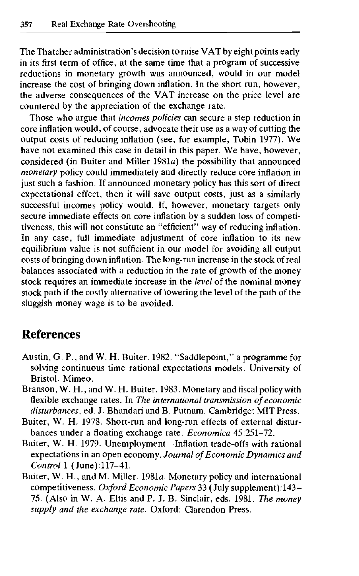The Thatcher administration's decision to raise VAT by eight points early in its first term of office, at the same time that a program of successive reductions in monetary growth was announced, would in our model increase the cost of bringing down inflation. In the short run, however, the adverse consequences of the VAT increase on the price level are countered by the appreciation of the exchange rate.

Those who argue that *incomes policies* can secure a step reduction in core inflation would, of course, advocate their use as a way of cutting the output costs of reducing inflation (see, for example, Tobin 1977). We have not examined this case in detail in this paper. We have, however, considered (in Buiter and Miller 1981a) the possibility that announced *monetary* policy could immediately and directly reduce core inflation in just such a fashion. If announced monetary policy has this sort of direct expectational effect, then it will save output costs, just as a similarly successful incomes policy would. If, however, monetary targets only secure immediate effects on core inflation by a sudden loss of competitiveness, this will not constitute an "efficient" way of reducing inflation. In any case, full immediate adjustment of core inflation to its new equilibrium value is not sufficient in our model for avoiding all output costs of bringing down inflation. The long-run increase in the stock of real balances associated with a reduction in the rate of growth of the money stock requires an immediate increase in the *level* of the nominal money stock path if the costly alternative of lowering the level of the path of the sluggish money wage is to be avoided.

# **References**

- Austin, G. P., and W. H. Buiter. 1982. "Saddlepoint," a programme for solving continuous time rational expectations models. University of Bristol. Mimeo.
- Branson, W. H., and W. H. Buiter. 1983. Monetary and fiscal policy with flexible exchange rates. In *The international transmission of economic disturbances,* ed. J. Bhandari and B. Putnam. Cambridge: MIT Press.
- Buiter, W. H. 1978. Short-run and long-run effects of external disturbances under a floating exchange rate. *Economica* 45:251-72.
- Buiter, W. H. 1979. Unemployment—Inflation trade-offs with rational expectations in an open economy. *Journal of Economic Dynamics and Control* 1 (June): 117-41.
- Buiter, W. H., and M. Miller. 1981a. Monetary policy and international competitiveness. *Oxford Economic Papers* 33 (July supplement): 143- 75. (Also in W. A. Eltis and P. J. B. Sinclair, eds. 1981. *The money supply and the exchange rate.* Oxford: Clarendon Press.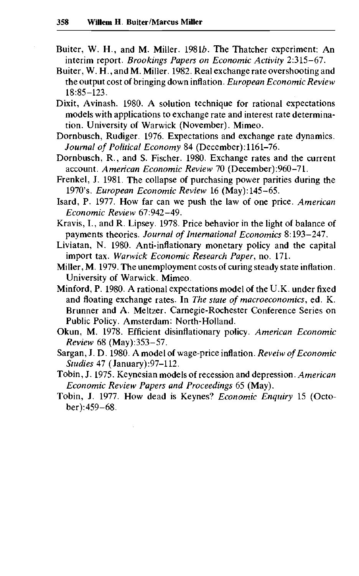- Buiter, W. H., and M. Miller. 19816. The Thatcher experiment: An interim report. *Brookings Papers on Economic Activity* 2:315-67.
- Buiter, W. H., and M. Miller. 1982. Real exchange rate overshooting and the output cost of bringing down inflation. *European Economic Review* 18:85-123.
- Dixit, Avinash. 1980. A solution technique for rational expectations models with applications to exchange rate and interest rate determination. University of Warwick (November). Mimeo.
- Dornbusch, Rudiger. 1976. Expectations and exchange rate dynamics. *Journal of Political Economy* 84 (December): 1161-76.
- Dornbusch, R., and S. Fischer. 1980. Exchange rates and the current account. *American Economic Review* 70 (December):960-71.
- Frenkel, J. 1981. The collapse of purchasing power parities during the 1970's. *European Economic Review* 16 (May): 145-65.
- Isard, P. 1977. How far can we push the law of one price. *American Economic Review* 67:942-49.
- Kravis, I., and R. Lipsey. 1978. Price behavior in the light of balance of payments theories. *Journal of International Economics* 8:193-247.
- Liviatan, N. 1980. Anti-inflationary monetary policy and the capital import tax. *Warwick Economic Research Paper,* no. 171.
- Miller, M. 1979. The unemployment costs of curing steady state inflation. University of Warwick. Mimeo.
- Minford, P. 1980. A rational expectations model of the U.K. under fixed and floating exchange rates. In *The state of macroeconomics*, ed. K. Brunner and A. Meltzer. Carnegie-Rochester Conference Series on Public Policy. Amsterdam: North-Holland.
- Okun, M. 1978. Efficient disinflationary policy. *American Economic Review* 68 (May):353-57.
- Sargan, J. D. 1980. A model of wage-price inflation. *Reveiw of Economic Studies Al* (January):97-112.
- Tobin, J. 1975. Keynesian models of recession and depression. *American Economic Review Papers and Proceedings* 65 (May).
- Tobin, J. 1977. How dead is Keynes? *Economic Enquiry* 15 (October) :459-68.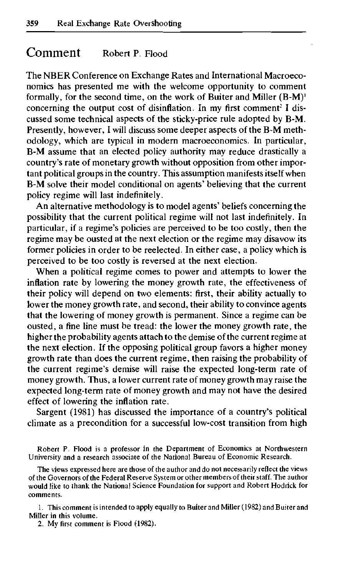# Comment Robert P. Flood

The NBER Conference on Exchange Rates and International Macroeconomics has presented me with the welcome opportunity to comment formally, for the second time, on the work of Buiter and Miller  $(B-M)^{1}$ concerning the output cost of disinflation. In my first comment<sup>2</sup> I discussed some technical aspects of the sticky-price rule adopted by B-M. Presently, however, I will discuss some deeper aspects of the B-M methodology, which are typical in modern macroeconomics. In particular, B-M assume that an elected policy authority may reduce drastically a country's rate of monetary growth without opposition from other important political groups in the country. This assumption manifests itself when B-M solve their model conditional on agents' believing that the current policy regime will last indefinitely.

An alternative methodology is to model agents' beliefs concerning the possibility that the current political regime will not last indefinitely. In particular, if a regime's policies are perceived to be too costly, then the regime may be ousted at the next election or the regime may disavow its former policies in order to be reelected. In either case, a policy which is perceived to be too costly is reversed at the next election.

When a political regime comes to power and attempts to lower the inflation rate by lowering the money growth rate, the effectiveness of their policy will depend on two elements: first, their ability actually to lower the money growth rate, and second, their ability to convince agents that the lowering of money growth is permanent. Since a regime can be ousted, a fine line must be tread: the lower the money growth rate, the higher the probability agents attach to the demise of the current regime at the next election. If the opposing political group favors a higher money growth rate than does the current regime, then raising the probability of the current regime's demise will raise the expected long-term rate of money growth. Thus, a lower current rate of money growth may raise the expected long-term rate of money growth and may not have the desired effect of lowering the inflation rate.

Sargent (1981) has discussed the importance of a country's political climate as a precondition for a successful low-cost transition from high

Robert P. Flood is a professor in the Department of Economics at Northwestern University and a research associate of the National Bureau of Economic Research.

The views expressed here are those of the author and do not necessarily reflect the views of the Governors of the Federal Reserve System or other members of their staff. The author would like to thank the National Science Foundation for support and Robert Hodrick for comments.

1. This comment is intended to apply equally to Buiter and Miller (1982) and Buiter and Miller in this volume.

2. My first comment is Flood (1982).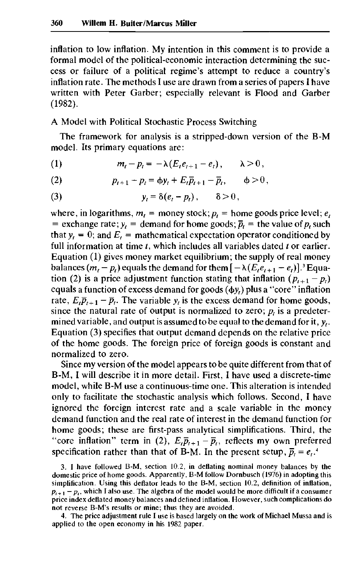inflation to low inflation. My intention in this comment is to provide a formal model of the political-economic interaction determining the success or failure of a political regime's attempt to reduce a country's inflation rate. The methods I use are drawn from a series of papers I have written with Peter Garber; especially relevant is Flood and Garber (1982).

A Model with Political Stochastic Process Switching

The framework for analysis is a stripped-down version of the B-M model. Its primary equations are:

(1) 
$$
m_t - p_t = -\lambda (E_t e_{t+1} - e_t), \qquad \lambda > 0,
$$

(2) 
$$
p_{t+1} - p_t = \phi y_t + E_t \overline{p}_{t+1} - \overline{p}_t, \qquad \phi > 0,
$$

(3) 
$$
y_t = \delta(e_t - p_t), \qquad \delta > 0,
$$

where, in logarithms,  $m_t$  = money stock;  $p_t$  = home goods price level;  $e_t$ = exchange rate;  $y_t$  = demand for home goods;  $\bar{p}_t$  = the value of  $p_t$  such that  $y_t = 0$ ; and  $E_t$  = mathematical expectation operator conditioned by full information at time *t,* which includes all variables dated *t* or earlier. Equation (1) gives money market equilibrium; the supply of real money balances  $(m_t - p_t)$  equals the demand for them  $[-\lambda(E_t e_{t+1} - e_t)]$ .<sup>3</sup> Equation (2) is a price adjustment function stating that inflation  $(p_{t+1} - p_t)$ equals a function of excess demand for goods  $(\phi y)$  plus a "core" inflation rate,  $E_t\bar{p}_{t+1} - \bar{p}_t$ . The variable  $y_t$  is the excess demand for home goods, since the natural rate of output is normalized to zero;  $p_t$  is a predetermined variable, and output is assumed to be equal to the demand for it,  $y_t$ . Equation (3) specifies that output demand depends on the relative price of the home goods. The foreign price of foreign goods is constant and normalized to zero.

Since my version of the model appears to be quite different from that of B-M, I will describe it in more detail. First, I have used a discrete-time model, while B-M use a continuous-time one. This alteration is intended only to facilitate the stochastic analysis which follows. Second, I have ignored the foreign interest rate and a scale variable in the money demand function and the real rate of interest in the demand function for home goods; these are first-pass analytical simplifications. Third, the "core inflation" term in (2),  $E_t\overline{p}_{t+1} - \overline{p}_t$ , reflects my own preferred specification rather than that of B-M. In the present setup,  $\bar{p}_t = e_t$ .<sup>4</sup>

4. The price adjustment rule I use is based largely on the work of Michael Mussa and is applied to the open economy in his 1982 paper.

<sup>3.</sup> I have followed B-M, section 10.2, in deflating nominal money balances by the domestic price of home goods. Apparently, B-M follow Dornbusch (1976) in adopting this simplification. Using this deflator leads to the B-M, section 10.2, definition of inflation,  $p_{i+1} - p_i$ , which I also use. The algebra of the model would be more difficult if a consumer price index deflated money balances and defined inflation. However, such complications do not reverse B-M's results or mine; thus they are avoided.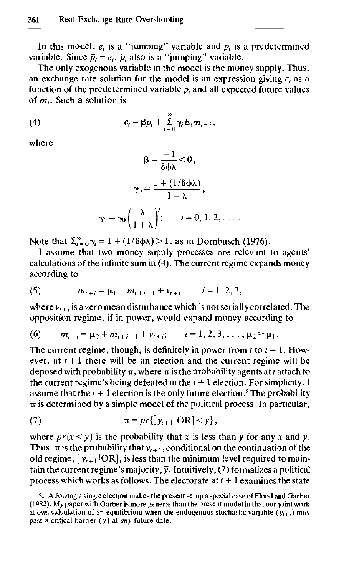In this model,  $e_t$  is a "jumping" variable and  $p_t$  is a predetermined variable. Since  $\bar{p}_t = e_t$ ,  $\bar{p}_t$  also is a "jumping" variable.

The only exogenous variable in the model is the money supply. Thus, an exchange rate solution for the model is an expression giving  $e_t$  as a function of the predetermined variable  $p_t$  and all expected future values of *m<sup>t</sup> .* Such a solution is

(4) 
$$
e_t = \beta p_t + \sum_{i=0}^{\infty} \gamma_i E_t m_{t+i},
$$

where

$$
\beta = \frac{-1}{\delta \phi \lambda} < 0,
$$

$$
\gamma_0 = \frac{1 + (1/\delta \phi \lambda)}{1 + \lambda},
$$

$$
\gamma_1 = \gamma_0 \left(\frac{\lambda}{1 + \lambda}\right)^i; \qquad i = 0, 1, 2, \dots
$$

Note that  $\Sigma_{i=0}^{\infty} \gamma_i = 1 + (1/\delta \phi \lambda) > 1$ , as in Dornbusch (1976).

I assume that two money supply processes are relevant to agents' calculations of the infinite sum in  $(4)$ . The current regime expands money according to

(5) 
$$
m_{t+i} = \mu_1 + m_{t+i-1} + v_{t+i}, \qquad i = 1, 2, 3, \ldots,
$$

where  $v_{t+i}$  is a zero mean disturbance which is not serially correlated. The opposition regime, if in power, would expand money according to

(6)  $m_{t+i} = \mu_2 + m_{t+i-1} + v_{t+i}$ ,  $i = 1, 2, 3, ..., \mu_2 \ge \mu_1$ .

The current regime, though, is definitely in power from *t* to *t +* 1. However, at  $t + 1$  there will be an election and the current regime will be deposed with probability  $\pi$ , where  $\pi$  is the probability agents at *t* attach to the current regime's being defeated in the  $t+1$  election. For simplicity, I assume that the  $t + 1$  election is the only future election.<sup>5</sup> The probability  $\pi$  is determined by a simple model of the political process. In particular,

(7) 
$$
\pi = pr\{[y_{t+1}|\mathrm{OR}] < \overline{y}\},
$$

where  $pr\{x \leq y\}$  is the probability that x is less than y for any x and y. Thus,  $\pi$  is the probability that  $y_{t+1}$ , conditional on the continuation of the old regime,  $[y_{t+1}]\text{OR}$ , is less than the minimum level required to maintain the current regime's majority,  $\bar{y}$ . Intuitively, (7) formalizes a political process which works as follows. The electorate at *t +* 1 examines the state

<sup>5.</sup> Allowing a single election makes the present setup a special case of Flood and Garber (1982). My paper with Garber is more general than the present model in that our joint work allows calculation of an equilibrium when the endogenous stochastic variable ( $y_{t+i}$ ) may pass a critical barrier  $(\bar{y})$  at *any* future date.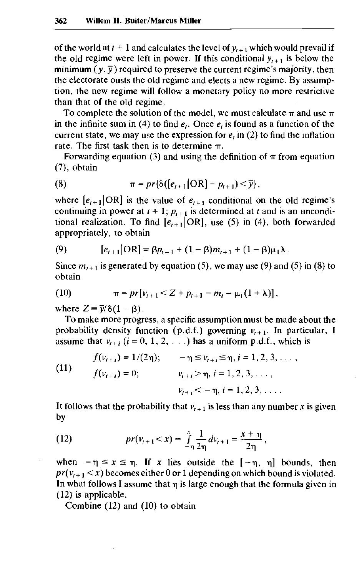of the world at  $t + 1$  and calculates the level of  $y_{t+1}$  which would prevail if the old regime were left in power. If this conditional  $y_{t+1}$  is below the minimum  $(y, \overline{y})$  required to preserve the current regime's majority, then the electorate ousts the old regime and elects a new regime. By assumption, the new regime will follow a monetary policy no more restrictive than that of the old regime.

To complete the solution of the model, we must calculate  $\pi$  and use  $\pi$ in the infinite sum in (4) to find *e<sup>t</sup> .* Once *e<sup>t</sup>* is found as a function of the current state, we may use the expression for *e,* in (2) to find the inflation rate. The first task then is to determine  $\pi$ .

Forwarding equation (3) and using the definition of  $\pi$  from equation (7), obtain

(8) 
$$
\pi = pr\{\delta([e_{t+1}|\text{OR}] - p_{t+1}) < \bar{y}\},
$$

where  $[e_{t+1}|\text{OR}]$  is the value of  $e_{t+1}$  conditional on the old regime's continuing in power at  $t + 1$ ;  $p_{t+1}$  is determined at t and is an unconditional realization. To find  $[e_{i+1}]\text{OR}$ , use (5) in (4), both forwarded appropriately, to obtain

(9) 
$$
[e_{t+1}|\text{OR}] = \beta p_{t+1} + (1-\beta)m_{t+1} + (1-\beta)\mu_1\lambda.
$$

Since  $m_{t+1}$  is generated by equation (5), we may use (9) and (5) in (8) to obtain

(10) 
$$
\pi = pr[v_{t+1} < Z + p_{t+1} - m_t - \mu_1(1 + \lambda)],
$$

where  $Z = \overline{y}/\delta(1-\beta)$ .

To make more progress, a specific assumption must be made about the probability density function (p.d.f.) governing  $v_{t+1}$ . In particular, I assume that  $v_{t+i}$  ( $i = 0, 1, 2, ...$ ) has a uniform p.d.f., which is

(11) 
$$
f(v_{i+i}) = 1/(2\eta); \qquad -\eta \le v_{i+i} \le \eta, i = 1, 2, 3, \dots,
$$

$$
f(v_{i+i}) = 0; \qquad v_{i+i} > \eta, i = 1, 2, 3, \dots,
$$

$$
v_{i+i} < -\eta, i = 1, 2, 3, \dots.
$$

It follows that the probability that  $v_{t+1}$  is less than any number x is given by

(12) 
$$
pr(v_{t+1} < x) = \int_{-\eta}^{x} \frac{1}{2\eta} dv_{t+1} = \frac{x+\eta}{2\eta},
$$

when  $-\eta \le x \le \eta$ . If x lies outside the  $[-\eta, \eta]$  bounds, then  $pr(v_{t+1} < x)$  becomes either 0 or 1 depending on which bound is violated. In what follows I assume that  $\eta$  is large enough that the formula given in (12) is applicable.

Combine (12) and (10) to obtain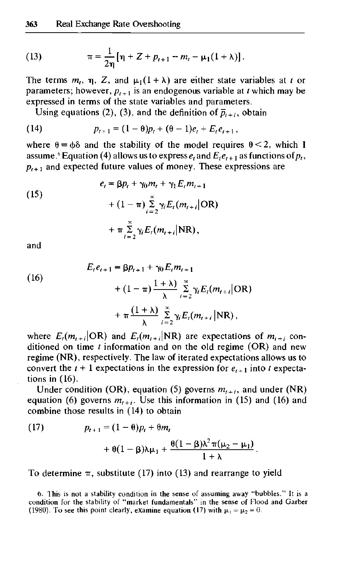(13) 
$$
\pi = \frac{1}{2\eta} [\eta + Z + p_{t+1} - m_t - \mu_1 (1 + \lambda)].
$$

The terms  $m_t$ ,  $\eta$ , Z, and  $\mu_1(1 + \lambda)$  are either state variables at t or parameters; however,  $p_{t+1}$  is an endogenous variable at *t* which may be expressed in terms of the state variables and parameters.

Using equations (2), (3), and the definition of  $\bar{p}_{t+1}$ , obtain

(14) 
$$
p_{t+1} = (1 - \theta)p_t + (\theta - 1)e_t + E_t e_{t+1},
$$

where  $\theta = \phi \delta$  and the stability of the model requires  $\theta < 2$ , which I assume.<sup>6</sup> Equation (4) allows us to express  $e_t$  and  $E_t\overline{e}_{t+1}$  as functions of  $p_t$ ,  $p_{t+1}$  and expected future values of money. These expressions are

(15)  
\n
$$
e_{t} = \beta p_{t} + \gamma_{0} m_{t} + \gamma_{1} E_{t} m_{t+1}
$$
\n
$$
+ (1 - \pi) \sum_{i=2}^{\infty} \gamma_{i} E_{t} (m_{t+i} | \text{OR})
$$
\n
$$
+ \pi \sum_{i=2}^{\infty} \gamma_{i} E_{t} (m_{t+i} | \text{NR}),
$$

and

(16)  
\n
$$
E_{t}e_{t+1} = \beta p_{t+1} + \gamma_{0} E_{t}m_{t+1} + (1 - \pi) \frac{1 + \lambda}{\lambda} \sum_{i=2}^{\infty} \gamma_{i} E_{t}(m_{t+i} | \text{OR}) + \pi \frac{(1 + \lambda)}{\lambda} \sum_{i=2}^{\infty} \gamma_{i} E_{t}(m_{t+i} | \text{NR}),
$$

where  $E_i(m_{i+i}|\text{OR})$  and  $E_i(m_{i+i}|\text{NR})$  are expectations of  $m_{i+i}$  conditioned on time *t* information and on the old regime (OR) and new regime (NR), respectively. The law of iterated expectations allows us to convert the  $t+1$  expectations in the expression for  $e_{t+1}$  into t expectations in (16).

Under condition (OR), equation (5) governs  $m_{t+i}$ , and under (NR) equation (6) governs  $m_{t+i}$ . Use this information in (15) and (16) and combine those results in (14) to obtain

(17) 
$$
p_{t+1} = (1 - \theta)p_t + \theta m_t + \theta (1 - \beta)\lambda \mu_1 + \frac{\theta (1 - \beta)\lambda^2 \pi (\mu_2 - \mu_1)}{1 + \lambda}.
$$

To determine  $\pi$ , substitute (17) into (13) and rearrange to yield

6. This is not a stability condition in the sense of assuming away "bubbles." It is a condition for the stability of "market fundamentals" in the sense of Flood and Garber (1980). To see this point clearly, examine equation (17) with  $\mu_1 = \mu_2 = 0$ .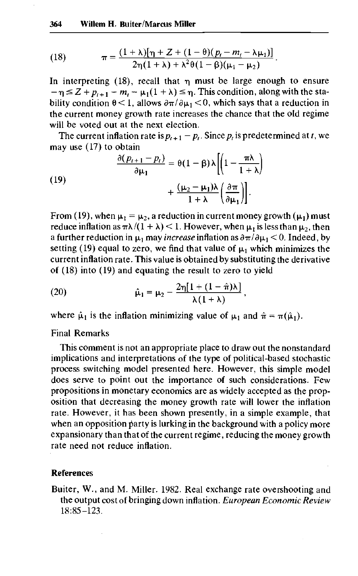(18) 
$$
\pi = \frac{(1+\lambda)[\eta + Z + (1-\theta)(p_t - m_t - \lambda\mu_1)]}{2\eta(1+\lambda) + \lambda^2\theta(1-\beta)(\mu_1 - \mu_2)}
$$

In interpreting  $(18)$ , recall that  $\eta$  must be large enough to ensure  $-\eta \leq Z + p_{t+1} - m_t - \mu_1(1 + \lambda) \leq \eta$ . This condition, along with the stability condition  $\theta$  < 1, allows  $\partial \pi / \partial \mu_1$  < 0, which says that a reduction in the current money growth rate increases the chance that the old regime will be voted out at the next election.

The current inflation rate is  $p_{t+1} - p_t$ . Since  $p_t$  is predetermined at *t*, we may use (17) to obtain

(19)  

$$
\frac{\partial (p_{t+1} - p_t)}{\partial \mu_1} = \theta (1 - \beta) \lambda \left[ \left( 1 - \frac{\pi \lambda}{1 + \lambda} \right) + \frac{(\mu_2 - \mu_1) \lambda}{1 + \lambda} \left( \frac{\partial \pi}{\partial \mu_1} \right) \right].
$$

From (19), when  $\mu_1 = \mu_2$ , a reduction in current money growth ( $\mu_1$ ) must reduce inflation as  $\pi\lambda/(1 + \lambda) < 1$ . However, when  $\mu_1$  is less than  $\mu_2$ , then a further reduction in  $\mu_1$  may *increase* inflation as  $\partial \pi / \partial \mu_1 < 0$ . Indeed, by setting (19) equal to zero, we find that value of  $\mu_1$  which minimizes the current inflation rate. This value is obtained by substituting the derivative of (18) into (19) and equating the result to zero to yield

(20) 
$$
\hat{\mu}_1 = \mu_2 - \frac{2\eta[1 + (1 - \hat{\pi})\lambda]}{\lambda(1 + \lambda)},
$$

where  $\hat{\mu}_1$  is the inflation minimizing value of  $\mu_1$  and  $\hat{\pi} = \pi(\hat{\mu}_1)$ .

## Final Remarks

This comment is not an appropriate place to draw out the nonstandard implications and interpretations of the type of political-based stochastic process switching model presented here. However, this simple model does serve to point out the importance of such considerations. Few propositions in monetary economics are as widely accepted as the proposition that decreasing the money growth rate will lower the inflation rate. However, it has been shown presently, in a simple example, that when an opposition party is lurking in the background with a policy more expansionary than that of the current regime, reducing the money growth rate need not reduce inflation.

#### **References**

Buiter, W., and M. Miller. 1982. Real exchange rate overshooting and the output cost of bringing down inflation. *European Economic Review* 18:85-123.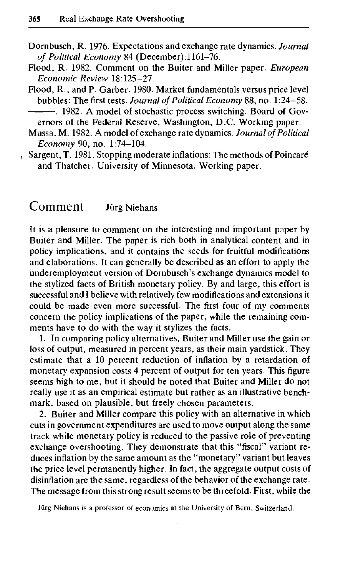- Dornbusch, R. 1976. Expectations and exchange rate dynamics. *Journal of Political Economy* 84 (December): 1161-76.
- Flood, R. 1982. Comment on the Buiter and Miller paper. *European Economic Review* 18:125-27.
- Flood, R., and P. Garber. 1980. Market fundamentals versus price level bubbles: The first tests. *Journal of Political Economy* 88, no. 1:24-58. . 1982. A model of stochastic process switching. Board of Gov-

ernors of the Federal Reserve, Washington, D.C. Working paper.

- Mussa, M. 1982. A model of exchange rate dynamics. *Journal of Political Economy* 90, no. 1:74-104.
- Sargent, T. 1981. Stopping moderate inflations: The methods of Poincare and Thatcher. University of Minnesota. Working paper.

# Comment Jürg Niehans

It is a pleasure to comment on the interesting and important paper by Buiter and Miller. The paper is rich both in analytical content and in policy implications, and it contains the seeds for fruitful modifications and elaborations. It can generally be described as an effort to apply the underemployment version of Dornbusch's exchange dynamics model to the stylized facts of British monetary policy. By and large, this effort is successful and I believe with relatively few modifications and extensions it could be made even more successful. The first four of my comments concern the policy implications of the paper, while the remaining comments have to do with the way it stylizes the facts.

1. In comparing policy alternatives, Buiter and Miller use the gain or loss of output, measured in percent years, as their main yardstick. They estimate that a 10 percent reduction of inflation by a retardation of monetary expansion costs 4 percent of output for ten years. This figure seems high to me, but it should be noted that Buiter and Miller do not really use it as an empirical estimate but rather as an illustrative benchmark, based on plausible, but freely chosen parameters.

2. Buiter and Miller compare this policy with an alternative in which cuts in government expenditures are used to move output along the same track while monetary policy is reduced to the passive role of preventing exchange overshooting. They demonstrate that this "fiscal" variant reduces inflation by the same amount as the "monetary" variant but leaves the price level permanently higher. In fact, the aggregate output costs of disinflation are the same, regardless of the behavior of the exchange rate. The message from this strong result seems to be threefold. First, while the

Jiirg Niehans is a professor of economics at the University of Bern, Switzerland.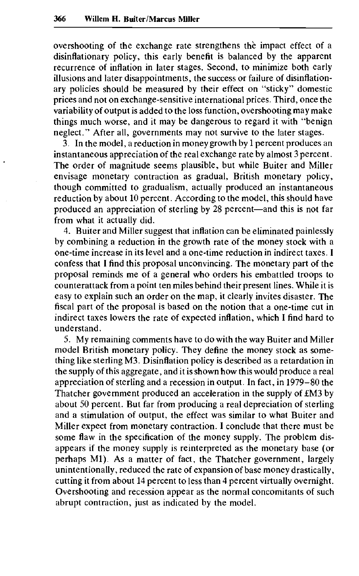overshooting of the exchange rate strengthens the impact effect of a disinflationary policy, this early benefit is balanced by the apparent recurrence of inflation in later stages. Second, to minimize both early illusions and later disappointments, the success or failure of disinflationary policies should be measured by their effect on "sticky" domestic prices and not on exchange-sensitive international prices. Third, once the variability of output is added to the loss function, overshooting may make things much worse, and it may be dangerous to regard it with "benign neglect." After all, governments may not survive to the later stages.

3. In the model, a reduction in money growth by 1 percent produces an instantaneous appreciation of the real exchange rate by almost 3 percent. The order of magnitude seems plausible, but while Buiter and Miller envisage monetary contraction as gradual, British monetary policy, though committed to gradualism, actually produced an instantaneous reduction by about 10 percent. According to the model, this should have produced an appreciation of sterling by 28 percent—and this is not far from what it actually did.

4. Buiter and Miller suggest that inflation can be eliminated painlessly by combining a reduction in the growth rate of the money stock with a one-time increase in its level and a one-time reduction in indirect taxes. I confess that I find this proposal unconvincing. The monetary part of the proposal reminds me of a general who orders his embattled troops to counterattack from a point ten miles behind their present lines. While it is easy to explain such an order on the map, it clearly invites disaster. The fiscal part of the proposal is based on the notion that a one-time cut in indirect taxes lowers the rate of expected inflation, which I find hard to understand.

5. My remaining comments have to do with the way Buiter and Miller model British monetary policy. They define the money stock as something like sterling M3. Disinflation policy is described as a retardation in the supply of this aggregate, and it is shown how this would produce a real appreciation of sterling and a recession in output. In fact, in 1979-80 the Thatcher government produced an acceleration in the supply of £M3 by about 50 percent. But far from producing a real depreciation of sterling and a stimulation of output, the effect was similar to what Buiter and Miller expect from monetary contraction. I conclude that there must be some flaw in the specification of the money supply. The problem disappears if the money supply is reinterpreted as the monetary base (or perhaps Ml). As a matter of fact, the Thatcher government, largely unintentionally, reduced the rate of expansion of base money drastically, cutting it from about 14 percent to less than 4 percent virtually overnight. Overshooting and recession appear as the normal concomitants of such abrupt contraction, just as indicated by the model.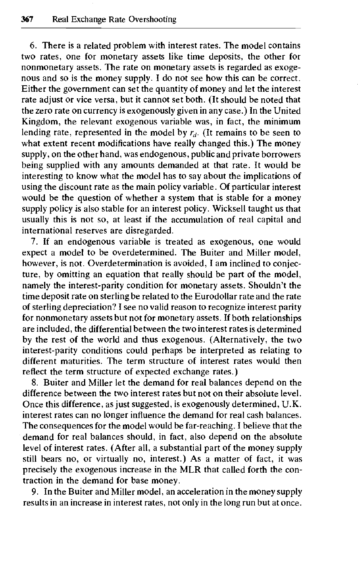6. There is a related problem with interest rates. The model contains two rates, one for monetary assets like time deposits, the other for nonmonetary assets. The rate on monetary assets is regarded as exogenous and so is the money supply. I do not see how this can be correct. Either the government can set the quantity of money and let the interest rate adjust or vice versa, but it cannot set both. (It should be noted that the zero rate on currency is exogenously given in any case.) In the United Kingdom, the relevant exogenous variable was, in fact, the minimum lending rate, represented in the model by  $r<sub>d</sub>$ . (It remains to be seen to what extent recent modifications have really changed this.) The money supply, on the other hand, was endogenous, public and private borrowers being supplied with any amounts demanded at that rate. It would be interesting to know what the model has to say about the implications of using the discount rate as the main policy variable. Of particular interest would be the question of whether a system that is stable for a money supply policy is also stable for an interest policy. Wicksell taught us that usually this is not so, at least if the accumulation of real capital and international reserves are disregarded.

7. If an endogenous variable is treated as exogenous, one would expect a model to be overdetermined. The Buiter and Miller model, however, is not. Overdetermination is avoided, I am inclined to conjecture, by omitting an equation that really should be part of the model, namely the interest-parity condition for monetary assets. Shouldn't the time deposit rate on sterling be related to the Eurodollar rate and the rate of sterling depreciation? I see no valid reason to recognize interest parity for nonmonetary assets but not for monetary assets. If both relationships are included, the differential between the two interest rates is determined by the rest of the world and thus exogenous. (Alternatively, the two interest-parity conditions could perhaps be interpreted as relating to different maturities. The term structure of interest rates would then reflect the term structure of expected exchange rates.)

8. Buiter and Miller let the demand for real balances depend on the difference between the two interest rates but not on their absolute level. Once this difference, as just suggested, is exogenously determined, U.K. interest rates can no longer influence the demand for real cash balances. The consequences for the model would be far-reaching. I believe that the demand for real balances should, in fact, also depend on the absolute level of interest rates. (After all, a substantial part of the money supply still bears no, or virtually no, interest.) As a matter of fact, it was precisely the exogenous increase in the MLR that called forth the contraction in the demand for base money.

9. In the Buiter and Miller model, an acceleration in the money supply results in an increase in interest rates, not only in the long run but at once.